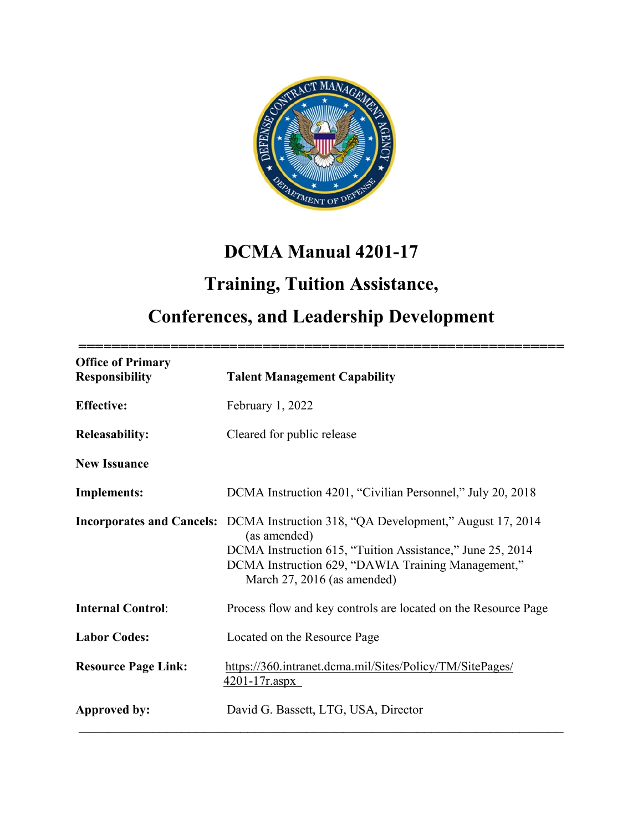

# **DCMA Manual 4201-17**

# **Training, Tuition Assistance,**

# **Conferences, and Leadership Development**

| <b>Office of Primary</b><br><b>Responsibility</b> | <b>Talent Management Capability</b>                                                                                                                                                                                                                        |
|---------------------------------------------------|------------------------------------------------------------------------------------------------------------------------------------------------------------------------------------------------------------------------------------------------------------|
| <b>Effective:</b>                                 | February 1, 2022                                                                                                                                                                                                                                           |
| <b>Releasability:</b>                             | Cleared for public release                                                                                                                                                                                                                                 |
| <b>New Issuance</b>                               |                                                                                                                                                                                                                                                            |
| <b>Implements:</b>                                | DCMA Instruction 4201, "Civilian Personnel," July 20, 2018                                                                                                                                                                                                 |
|                                                   | <b>Incorporates and Cancels:</b> DCMA Instruction 318, "QA Development," August 17, 2014<br>(as amended)<br>DCMA Instruction 615, "Tuition Assistance," June 25, 2014<br>DCMA Instruction 629, "DAWIA Training Management,"<br>March 27, 2016 (as amended) |
| <b>Internal Control:</b>                          | Process flow and key controls are located on the Resource Page                                                                                                                                                                                             |
| <b>Labor Codes:</b>                               | Located on the Resource Page                                                                                                                                                                                                                               |
| <b>Resource Page Link:</b>                        | https://360.intranet.dcma.mil/Sites/Policy/TM/SitePages/<br>$4201 - 17r \n  aspx$                                                                                                                                                                          |
| Approved by:                                      | David G. Bassett, LTG, USA, Director                                                                                                                                                                                                                       |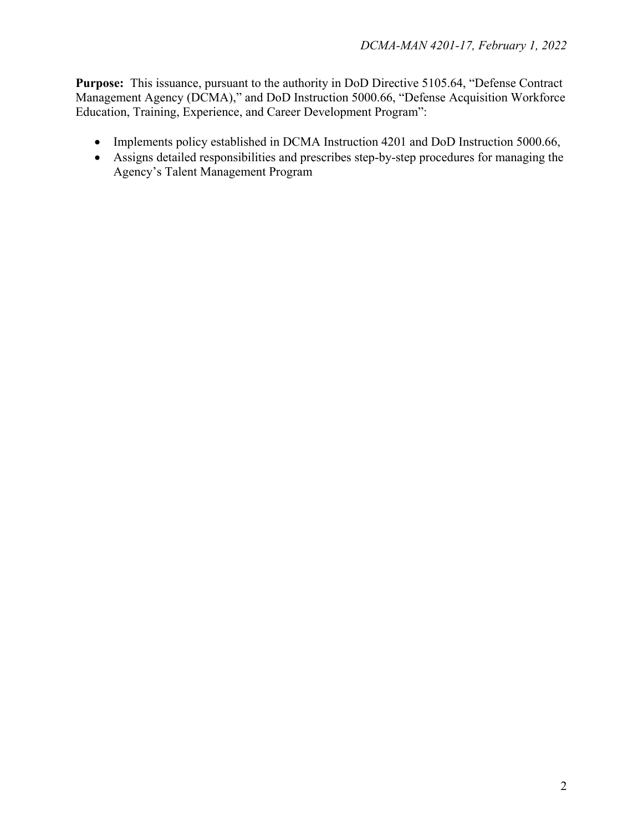**Purpose:** This issuance, pursuant to the authority in DoD Directive 5105.64, "Defense Contract Management Agency (DCMA)," and DoD Instruction 5000.66, "Defense Acquisition Workforce Education, Training, Experience, and Career Development Program":

- Implements policy established in DCMA Instruction 4201 and DoD Instruction 5000.66,
- Assigns detailed responsibilities and prescribes step-by-step procedures for managing the Agency's Talent Management Program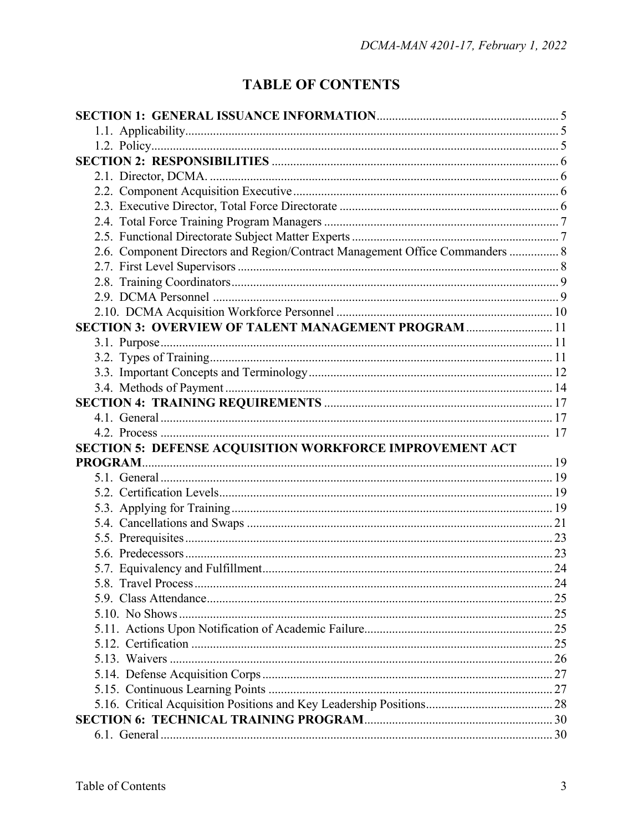## **TABLE OF CONTENTS**

| 2.6. Component Directors and Region/Contract Management Office Commanders  8 |  |
|------------------------------------------------------------------------------|--|
|                                                                              |  |
|                                                                              |  |
|                                                                              |  |
|                                                                              |  |
| SECTION 3: OVERVIEW OF TALENT MANAGEMENT PROGRAM  11                         |  |
|                                                                              |  |
|                                                                              |  |
|                                                                              |  |
|                                                                              |  |
|                                                                              |  |
|                                                                              |  |
|                                                                              |  |
| <b>SECTION 5: DEFENSE ACQUISITION WORKFORCE IMPROVEMENT ACT</b>              |  |
|                                                                              |  |
|                                                                              |  |
|                                                                              |  |
|                                                                              |  |
|                                                                              |  |
|                                                                              |  |
|                                                                              |  |
|                                                                              |  |
|                                                                              |  |
|                                                                              |  |
|                                                                              |  |
|                                                                              |  |
|                                                                              |  |
|                                                                              |  |
|                                                                              |  |
|                                                                              |  |
|                                                                              |  |
|                                                                              |  |
|                                                                              |  |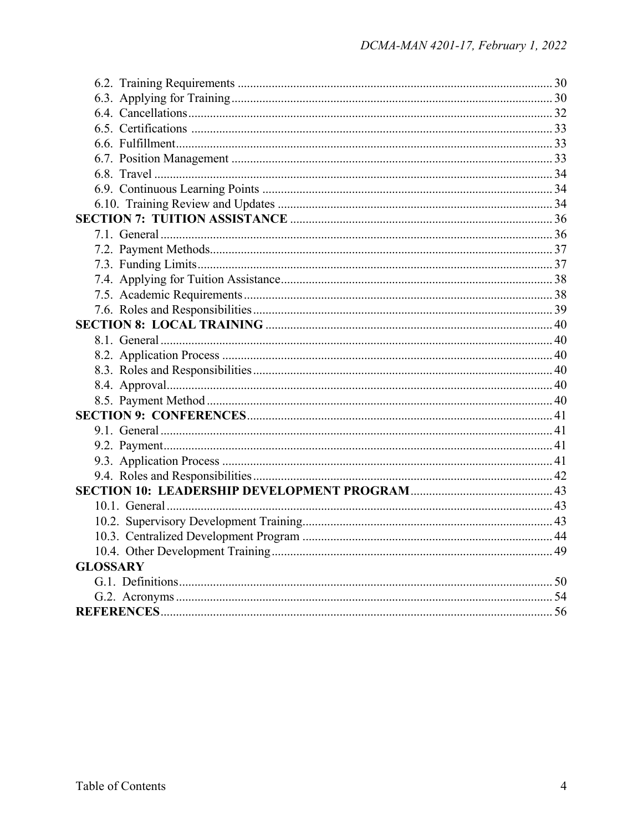| <b>GLOSSARY</b> |  |
|-----------------|--|
|                 |  |
|                 |  |
|                 |  |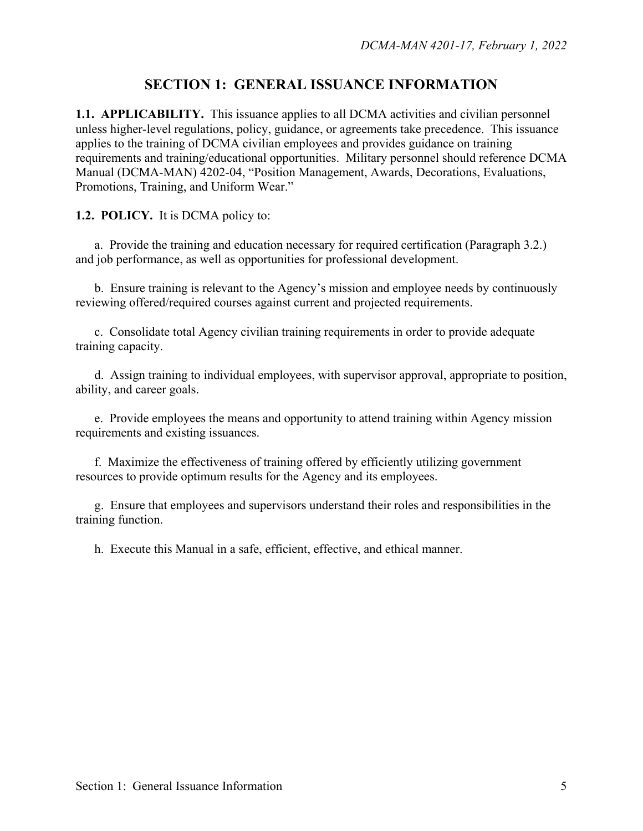## **SECTION 1: GENERAL ISSUANCE INFORMATION**

**1.1. APPLICABILITY.** This issuance applies to all DCMA activities and civilian personnel unless higher-level regulations, policy, guidance, or agreements take precedence. This issuance applies to the training of DCMA civilian employees and provides guidance on training requirements and training/educational opportunities. Military personnel should reference DCMA Manual (DCMA-MAN) 4202-04, "Position Management, Awards, Decorations, Evaluations, Promotions, Training, and Uniform Wear."

#### **1.2. POLICY.** It is DCMA policy to:

a. Provide the training and education necessary for required certification (Paragraph 3.2.) and job performance, as well as opportunities for professional development.

b. Ensure training is relevant to the Agency's mission and employee needs by continuously reviewing offered/required courses against current and projected requirements.

c. Consolidate total Agency civilian training requirements in order to provide adequate training capacity.

d. Assign training to individual employees, with supervisor approval, appropriate to position, ability, and career goals.

e. Provide employees the means and opportunity to attend training within Agency mission requirements and existing issuances.

f. Maximize the effectiveness of training offered by efficiently utilizing government resources to provide optimum results for the Agency and its employees.

g. Ensure that employees and supervisors understand their roles and responsibilities in the training function.

h. Execute this Manual in a safe, efficient, effective, and ethical manner.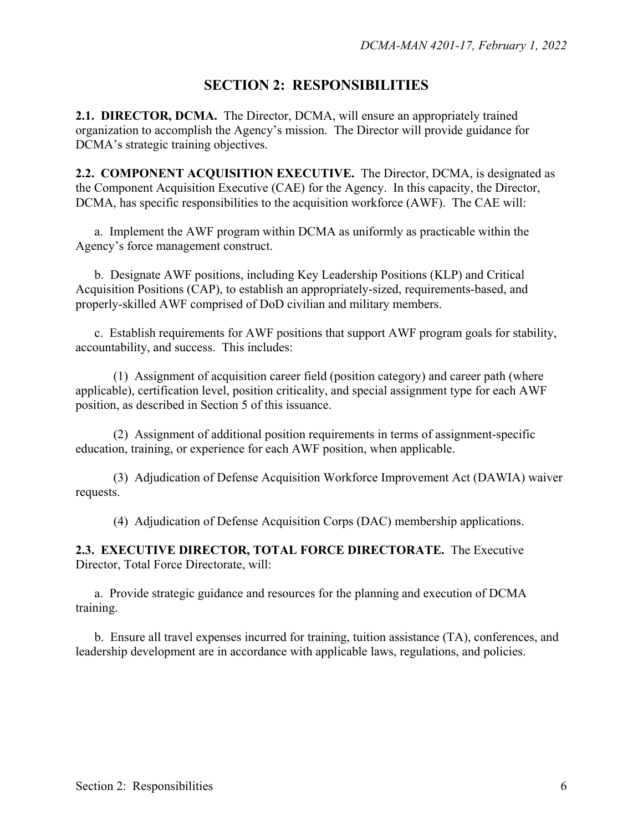## **SECTION 2: RESPONSIBILITIES**

**2.1. DIRECTOR, DCMA.** The Director, DCMA, will ensure an appropriately trained organization to accomplish the Agency's mission. The Director will provide guidance for DCMA's strategic training objectives.

**2.2. COMPONENT ACQUISITION EXECUTIVE.** The Director, DCMA, is designated as the Component Acquisition Executive (CAE) for the Agency. In this capacity, the Director, DCMA, has specific responsibilities to the acquisition workforce (AWF). The CAE will:

 a. Implement the AWF program within DCMA as uniformly as practicable within the Agency's force management construct.

 b. Designate AWF positions, including Key Leadership Positions (KLP) and Critical Acquisition Positions (CAP), to establish an appropriately-sized, requirements-based, and properly-skilled AWF comprised of DoD civilian and military members.

 c. Establish requirements for AWF positions that support AWF program goals for stability, accountability, and success. This includes:

 (1) Assignment of acquisition career field (position category) and career path (where applicable), certification level, position criticality, and special assignment type for each AWF position, as described in Section 5 of this issuance.

 (2) Assignment of additional position requirements in terms of assignment-specific education, training, or experience for each AWF position, when applicable.

 (3) Adjudication of Defense Acquisition Workforce Improvement Act (DAWIA) waiver requests.

(4) Adjudication of Defense Acquisition Corps (DAC) membership applications.

**2.3. EXECUTIVE DIRECTOR, TOTAL FORCE DIRECTORATE.** The Executive Director, Total Force Directorate, will:

 a. Provide strategic guidance and resources for the planning and execution of DCMA training.

 b. Ensure all travel expenses incurred for training, tuition assistance (TA), conferences, and leadership development are in accordance with applicable laws, regulations, and policies.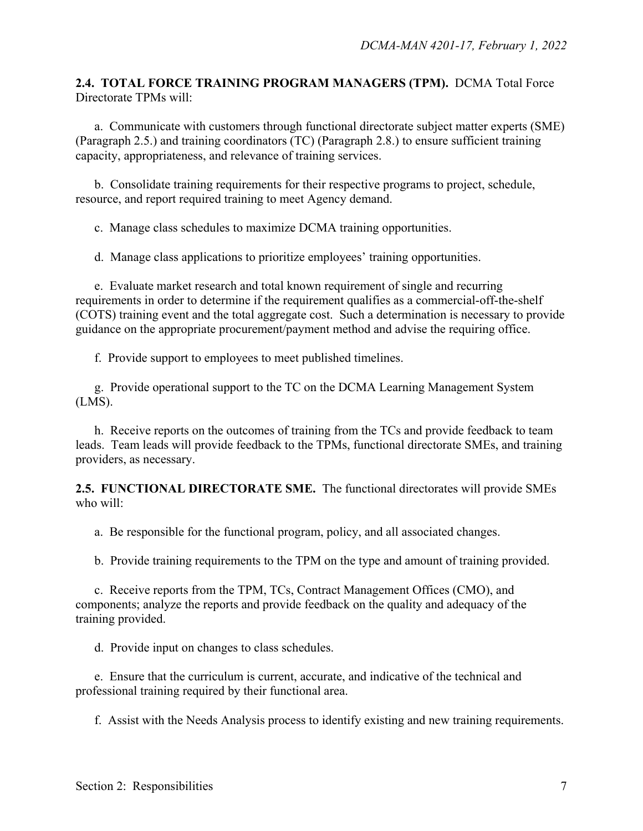#### **2.4. TOTAL FORCE TRAINING PROGRAM MANAGERS (TPM).** DCMA Total Force Directorate TPMs will:

 a. Communicate with customers through functional directorate subject matter experts (SME) (Paragraph 2.5.) and training coordinators (TC) (Paragraph 2.8.) to ensure sufficient training capacity, appropriateness, and relevance of training services.

 b. Consolidate training requirements for their respective programs to project, schedule, resource, and report required training to meet Agency demand.

c. Manage class schedules to maximize DCMA training opportunities.

d. Manage class applications to prioritize employees' training opportunities.

e. Evaluate market research and total known requirement of single and recurring requirements in order to determine if the requirement qualifies as a commercial-off-the-shelf (COTS) training event and the total aggregate cost. Such a determination is necessary to provide guidance on the appropriate procurement/payment method and advise the requiring office.

f. Provide support to employees to meet published timelines.

 g. Provide operational support to the TC on the DCMA Learning Management System (LMS).

 h. Receive reports on the outcomes of training from the TCs and provide feedback to team leads. Team leads will provide feedback to the TPMs, functional directorate SMEs, and training providers, as necessary.

**2.5. FUNCTIONAL DIRECTORATE SME.** The functional directorates will provide SMEs who will:

a. Be responsible for the functional program, policy, and all associated changes.

b. Provide training requirements to the TPM on the type and amount of training provided.

 c. Receive reports from the TPM, TCs, Contract Management Offices (CMO), and components; analyze the reports and provide feedback on the quality and adequacy of the training provided.

d. Provide input on changes to class schedules.

 e. Ensure that the curriculum is current, accurate, and indicative of the technical and professional training required by their functional area.

f. Assist with the Needs Analysis process to identify existing and new training requirements.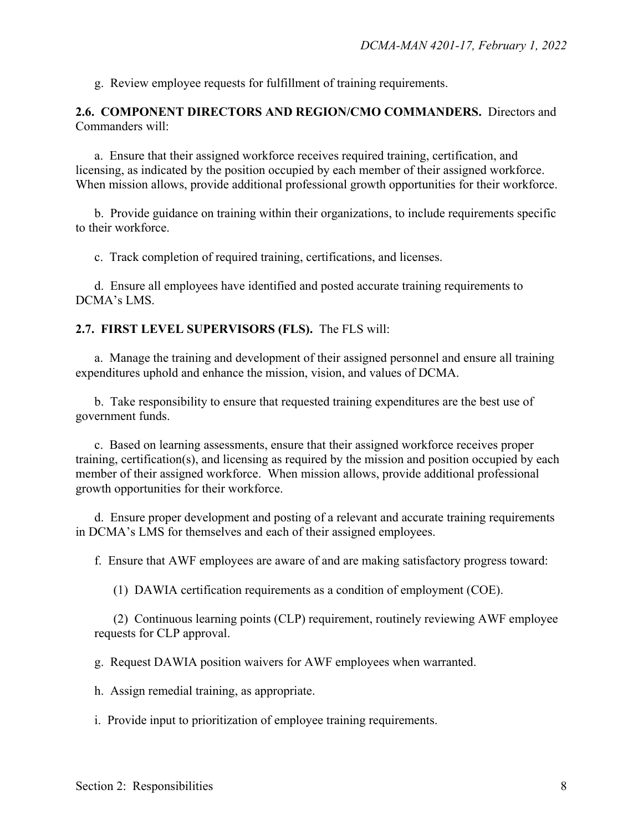g. Review employee requests for fulfillment of training requirements.

**2.6. COMPONENT DIRECTORS AND REGION/CMO COMMANDERS.** Directors and Commanders will:

a. Ensure that their assigned workforce receives required training, certification, and licensing, as indicated by the position occupied by each member of their assigned workforce. When mission allows, provide additional professional growth opportunities for their workforce.

b. Provide guidance on training within their organizations, to include requirements specific to their workforce.

c. Track completion of required training, certifications, and licenses.

d. Ensure all employees have identified and posted accurate training requirements to DCMA's LMS.

#### **2.7. FIRST LEVEL SUPERVISORS (FLS).** The FLS will:

a. Manage the training and development of their assigned personnel and ensure all training expenditures uphold and enhance the mission, vision, and values of DCMA.

b. Take responsibility to ensure that requested training expenditures are the best use of government funds.

c. Based on learning assessments, ensure that their assigned workforce receives proper training, certification(s), and licensing as required by the mission and position occupied by each member of their assigned workforce. When mission allows, provide additional professional growth opportunities for their workforce.

d. Ensure proper development and posting of a relevant and accurate training requirements in DCMA's LMS for themselves and each of their assigned employees.

f. Ensure that AWF employees are aware of and are making satisfactory progress toward:

(1) DAWIA certification requirements as a condition of employment (COE).

(2) Continuous learning points (CLP) requirement, routinely reviewing AWF employee requests for CLP approval.

g. Request DAWIA position waivers for AWF employees when warranted.

h. Assign remedial training, as appropriate.

i. Provide input to prioritization of employee training requirements.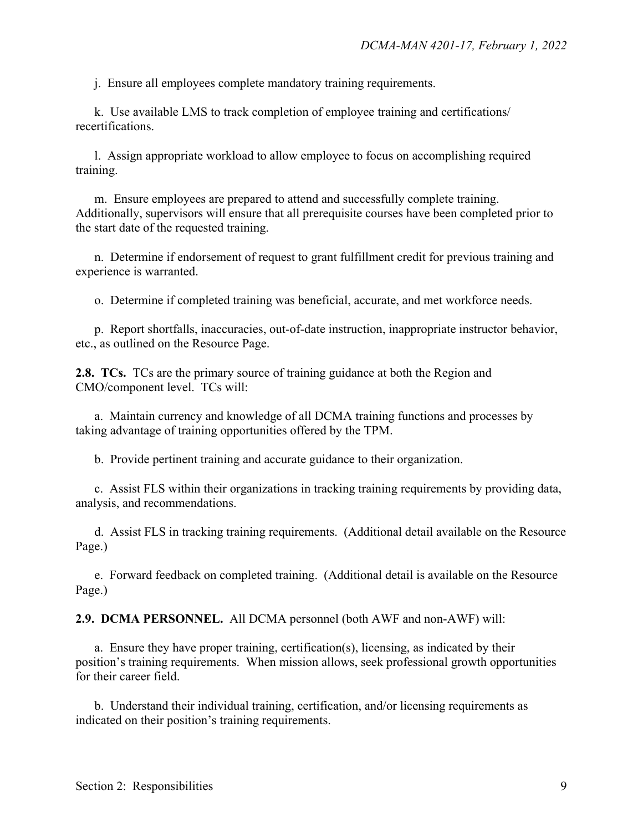j. Ensure all employees complete mandatory training requirements.

k. Use available LMS to track completion of employee training and certifications/ recertifications.

l. Assign appropriate workload to allow employee to focus on accomplishing required training.

m. Ensure employees are prepared to attend and successfully complete training. Additionally, supervisors will ensure that all prerequisite courses have been completed prior to the start date of the requested training.

n. Determine if endorsement of request to grant fulfillment credit for previous training and experience is warranted.

o. Determine if completed training was beneficial, accurate, and met workforce needs.

p. Report shortfalls, inaccuracies, out-of-date instruction, inappropriate instructor behavior, etc., as outlined on the Resource Page.

**2.8. TCs.** TCs are the primary source of training guidance at both the Region and CMO/component level. TCs will:

a. Maintain currency and knowledge of all DCMA training functions and processes by taking advantage of training opportunities offered by the TPM.

b. Provide pertinent training and accurate guidance to their organization.

 c. Assist FLS within their organizations in tracking training requirements by providing data, analysis, and recommendations.

 d. Assist FLS in tracking training requirements. (Additional detail available on the Resource Page.)

e. Forward feedback on completed training. (Additional detail is available on the Resource Page.)

**2.9. DCMA PERSONNEL.** All DCMA personnel (both AWF and non-AWF) will:

a. Ensure they have proper training, certification(s), licensing, as indicated by their position's training requirements. When mission allows, seek professional growth opportunities for their career field.

b. Understand their individual training, certification, and/or licensing requirements as indicated on their position's training requirements.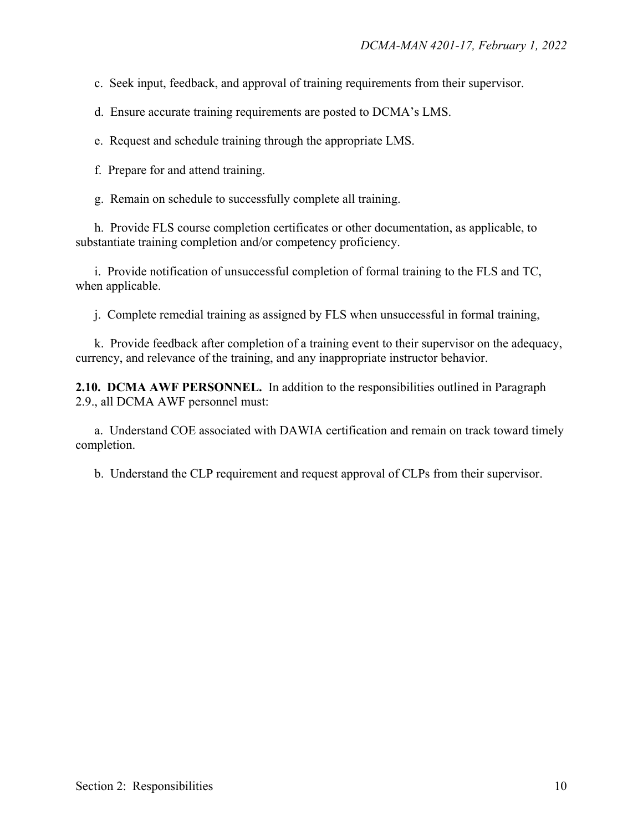c. Seek input, feedback, and approval of training requirements from their supervisor.

d. Ensure accurate training requirements are posted to DCMA's LMS.

e. Request and schedule training through the appropriate LMS.

f. Prepare for and attend training.

g. Remain on schedule to successfully complete all training.

h. Provide FLS course completion certificates or other documentation, as applicable, to substantiate training completion and/or competency proficiency.

i. Provide notification of unsuccessful completion of formal training to the FLS and TC, when applicable.

j. Complete remedial training as assigned by FLS when unsuccessful in formal training,

k. Provide feedback after completion of a training event to their supervisor on the adequacy, currency, and relevance of the training, and any inappropriate instructor behavior.

**2.10. DCMA AWF PERSONNEL.** In addition to the responsibilities outlined in Paragraph 2.9., all DCMA AWF personnel must:

a. Understand COE associated with DAWIA certification and remain on track toward timely completion.

b. Understand the CLP requirement and request approval of CLPs from their supervisor.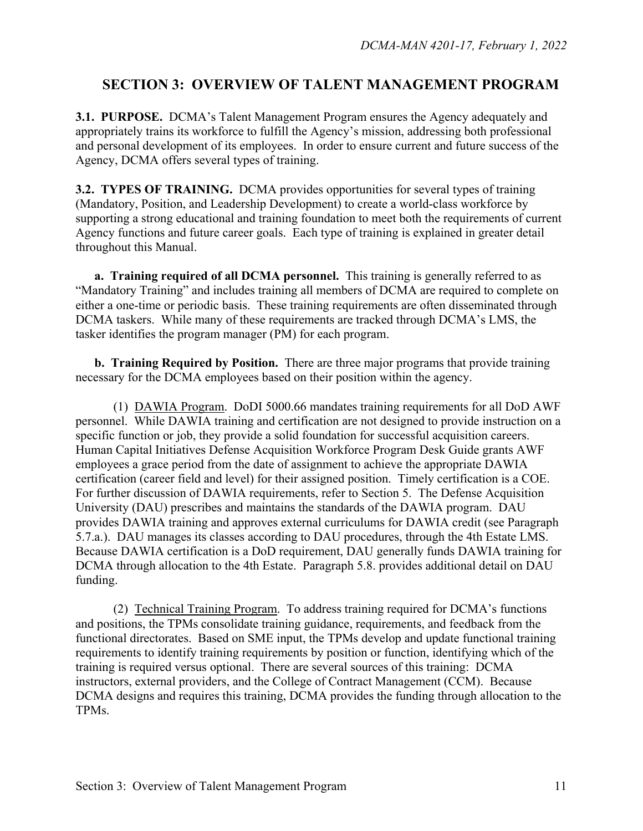## **SECTION 3: OVERVIEW OF TALENT MANAGEMENT PROGRAM**

**3.1. PURPOSE.** DCMA's Talent Management Program ensures the Agency adequately and appropriately trains its workforce to fulfill the Agency's mission, addressing both professional and personal development of its employees. In order to ensure current and future success of the Agency, DCMA offers several types of training.

**3.2. TYPES OF TRAINING.** DCMA provides opportunities for several types of training (Mandatory, Position, and Leadership Development) to create a world-class workforce by supporting a strong educational and training foundation to meet both the requirements of current Agency functions and future career goals. Each type of training is explained in greater detail throughout this Manual.

**a. Training required of all DCMA personnel.** This training is generally referred to as "Mandatory Training" and includes training all members of DCMA are required to complete on either a one-time or periodic basis. These training requirements are often disseminated through DCMA taskers. While many of these requirements are tracked through DCMA's LMS, the tasker identifies the program manager (PM) for each program.

**b. Training Required by Position.** There are three major programs that provide training necessary for the DCMA employees based on their position within the agency.

 (1) DAWIA Program. DoDI 5000.66 mandates training requirements for all DoD AWF personnel. While DAWIA training and certification are not designed to provide instruction on a specific function or job, they provide a solid foundation for successful acquisition careers. Human Capital Initiatives Defense Acquisition Workforce Program Desk Guide grants AWF employees a grace period from the date of assignment to achieve the appropriate DAWIA certification (career field and level) for their assigned position. Timely certification is a COE. For further discussion of DAWIA requirements, refer to Section 5. The Defense Acquisition University (DAU) prescribes and maintains the standards of the DAWIA program. DAU provides DAWIA training and approves external curriculums for DAWIA credit (see Paragraph 5.7.a.). DAU manages its classes according to DAU procedures, through the 4th Estate LMS. Because DAWIA certification is a DoD requirement, DAU generally funds DAWIA training for DCMA through allocation to the 4th Estate. Paragraph 5.8. provides additional detail on DAU funding.

(2) Technical Training Program. To address training required for DCMA's functions and positions, the TPMs consolidate training guidance, requirements, and feedback from the functional directorates. Based on SME input, the TPMs develop and update functional training requirements to identify training requirements by position or function, identifying which of the training is required versus optional. There are several sources of this training: DCMA instructors, external providers, and the College of Contract Management (CCM). Because DCMA designs and requires this training, DCMA provides the funding through allocation to the TPMs.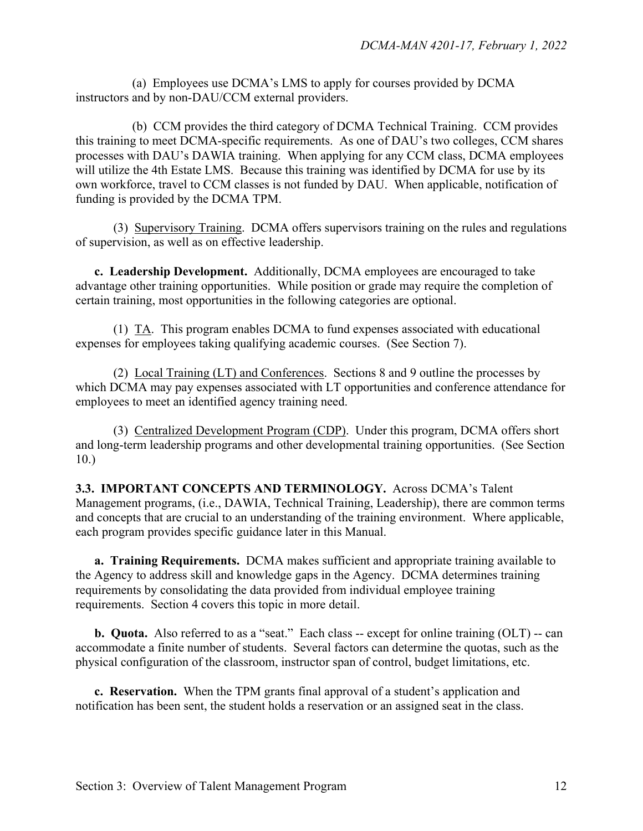(a) Employees use DCMA's LMS to apply for courses provided by DCMA instructors and by non-DAU/CCM external providers.

 (b) CCM provides the third category of DCMA Technical Training. CCM provides this training to meet DCMA-specific requirements. As one of DAU's two colleges, CCM shares processes with DAU's DAWIA training. When applying for any CCM class, DCMA employees will utilize the 4th Estate LMS. Because this training was identified by DCMA for use by its own workforce, travel to CCM classes is not funded by DAU. When applicable, notification of funding is provided by the DCMA TPM.

(3) Supervisory Training. DCMA offers supervisors training on the rules and regulations of supervision, as well as on effective leadership.

 **c. Leadership Development.** Additionally, DCMA employees are encouraged to take advantage other training opportunities. While position or grade may require the completion of certain training, most opportunities in the following categories are optional.

(1) TA. This program enables DCMA to fund expenses associated with educational expenses for employees taking qualifying academic courses. (See Section 7).

(2) Local Training (LT) and Conferences. Sections 8 and 9 outline the processes by which DCMA may pay expenses associated with LT opportunities and conference attendance for employees to meet an identified agency training need.

(3) Centralized Development Program (CDP). Under this program, DCMA offers short and long-term leadership programs and other developmental training opportunities. (See Section 10.)

**3.3. IMPORTANT CONCEPTS AND TERMINOLOGY.** Across DCMA's Talent Management programs, (i.e., DAWIA, Technical Training, Leadership), there are common terms and concepts that are crucial to an understanding of the training environment. Where applicable, each program provides specific guidance later in this Manual.

**a. Training Requirements.** DCMA makes sufficient and appropriate training available to the Agency to address skill and knowledge gaps in the Agency. DCMA determines training requirements by consolidating the data provided from individual employee training requirements. Section 4 covers this topic in more detail.

**b. Quota.** Also referred to as a "seat." Each class -- except for online training (OLT) -- can accommodate a finite number of students. Several factors can determine the quotas, such as the physical configuration of the classroom, instructor span of control, budget limitations, etc.

**c. Reservation.** When the TPM grants final approval of a student's application and notification has been sent, the student holds a reservation or an assigned seat in the class.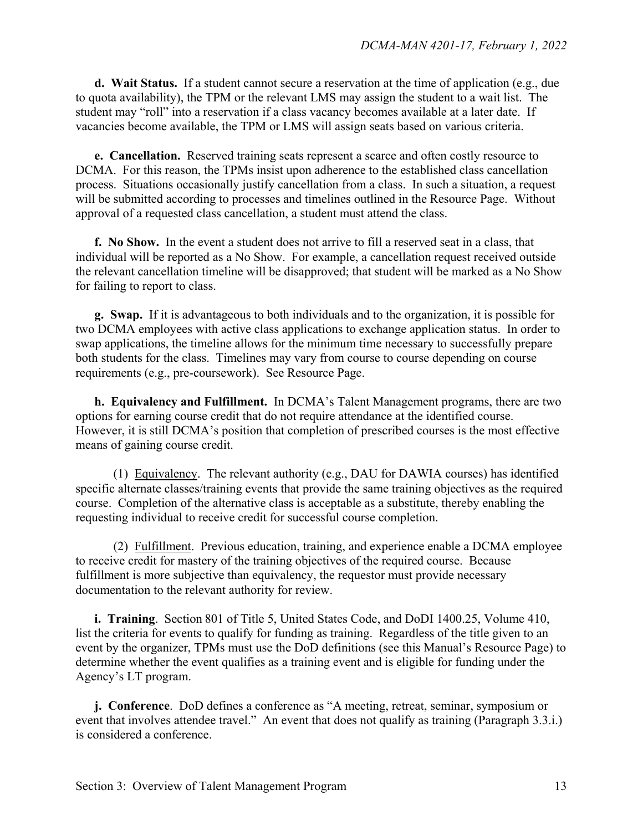**d. Wait Status.** If a student cannot secure a reservation at the time of application (e.g., due to quota availability), the TPM or the relevant LMS may assign the student to a wait list. The student may "roll" into a reservation if a class vacancy becomes available at a later date. If vacancies become available, the TPM or LMS will assign seats based on various criteria.

**e. Cancellation.** Reserved training seats represent a scarce and often costly resource to DCMA. For this reason, the TPMs insist upon adherence to the established class cancellation process. Situations occasionally justify cancellation from a class. In such a situation, a request will be submitted according to processes and timelines outlined in the Resource Page. Without approval of a requested class cancellation, a student must attend the class.

**f. No Show.** In the event a student does not arrive to fill a reserved seat in a class, that individual will be reported as a No Show. For example, a cancellation request received outside the relevant cancellation timeline will be disapproved; that student will be marked as a No Show for failing to report to class.

**g. Swap.** If it is advantageous to both individuals and to the organization, it is possible for two DCMA employees with active class applications to exchange application status. In order to swap applications, the timeline allows for the minimum time necessary to successfully prepare both students for the class. Timelines may vary from course to course depending on course requirements (e.g., pre-coursework). See Resource Page.

**h. Equivalency and Fulfillment.** In DCMA's Talent Management programs, there are two options for earning course credit that do not require attendance at the identified course. However, it is still DCMA's position that completion of prescribed courses is the most effective means of gaining course credit.

 (1) Equivalency. The relevant authority (e.g., DAU for DAWIA courses) has identified specific alternate classes/training events that provide the same training objectives as the required course. Completion of the alternative class is acceptable as a substitute, thereby enabling the requesting individual to receive credit for successful course completion.

(2) Fulfillment. Previous education, training, and experience enable a DCMA employee to receive credit for mastery of the training objectives of the required course. Because fulfillment is more subjective than equivalency, the requestor must provide necessary documentation to the relevant authority for review.

**i. Training**. Section 801 of Title 5, United States Code, and DoDI 1400.25, Volume 410, list the criteria for events to qualify for funding as training. Regardless of the title given to an event by the organizer, TPMs must use the DoD definitions (see this Manual's Resource Page) to determine whether the event qualifies as a training event and is eligible for funding under the Agency's LT program.

**j. Conference**. DoD defines a conference as "A meeting, retreat, seminar, symposium or event that involves attendee travel." An event that does not qualify as training (Paragraph 3.3.i.) is considered a conference.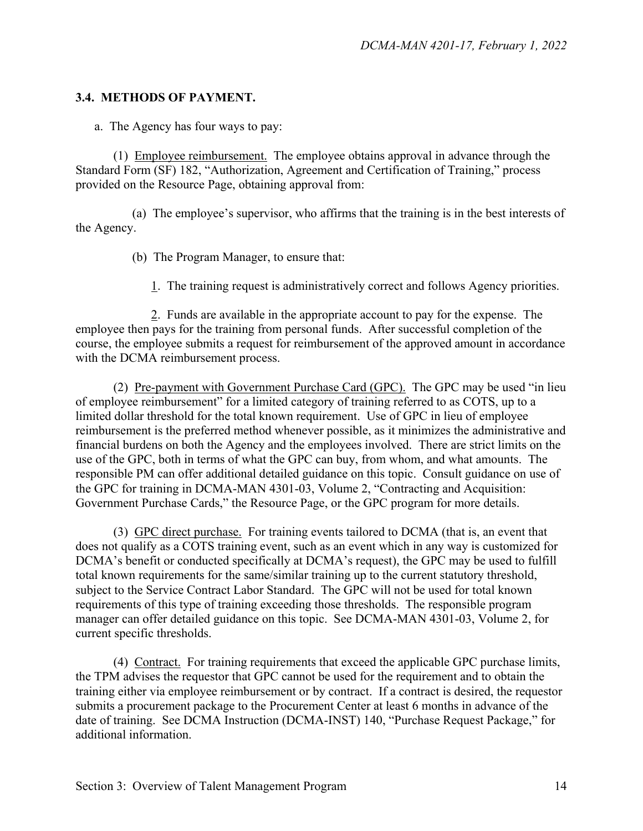#### **3.4. METHODS OF PAYMENT.**

a. The Agency has four ways to pay:

(1) Employee reimbursement. The employee obtains approval in advance through the Standard Form (SF) 182, "Authorization, Agreement and Certification of Training," process provided on the Resource Page, obtaining approval from:

(a) The employee's supervisor, who affirms that the training is in the best interests of the Agency.

- (b) The Program Manager, to ensure that:
	- 1. The training request is administratively correct and follows Agency priorities.

2. Funds are available in the appropriate account to pay for the expense. The employee then pays for the training from personal funds. After successful completion of the course, the employee submits a request for reimbursement of the approved amount in accordance with the DCMA reimbursement process.

(2) Pre-payment with Government Purchase Card (GPC). The GPC may be used "in lieu of employee reimbursement" for a limited category of training referred to as COTS, up to a limited dollar threshold for the total known requirement. Use of GPC in lieu of employee reimbursement is the preferred method whenever possible, as it minimizes the administrative and financial burdens on both the Agency and the employees involved. There are strict limits on the use of the GPC, both in terms of what the GPC can buy, from whom, and what amounts. The responsible PM can offer additional detailed guidance on this topic. Consult guidance on use of the GPC for training in DCMA-MAN 4301-03, Volume 2, "Contracting and Acquisition: Government Purchase Cards," the Resource Page, or the GPC program for more details.

(3) GPC direct purchase. For training events tailored to DCMA (that is, an event that does not qualify as a COTS training event, such as an event which in any way is customized for DCMA's benefit or conducted specifically at DCMA's request), the GPC may be used to fulfill total known requirements for the same/similar training up to the current statutory threshold, subject to the Service Contract Labor Standard. The GPC will not be used for total known requirements of this type of training exceeding those thresholds. The responsible program manager can offer detailed guidance on this topic. See DCMA-MAN 4301-03, Volume 2, for current specific thresholds.

(4) Contract. For training requirements that exceed the applicable GPC purchase limits, the TPM advises the requestor that GPC cannot be used for the requirement and to obtain the training either via employee reimbursement or by contract. If a contract is desired, the requestor submits a procurement package to the Procurement Center at least 6 months in advance of the date of training. See DCMA Instruction (DCMA-INST) 140, "Purchase Request Package," for additional information.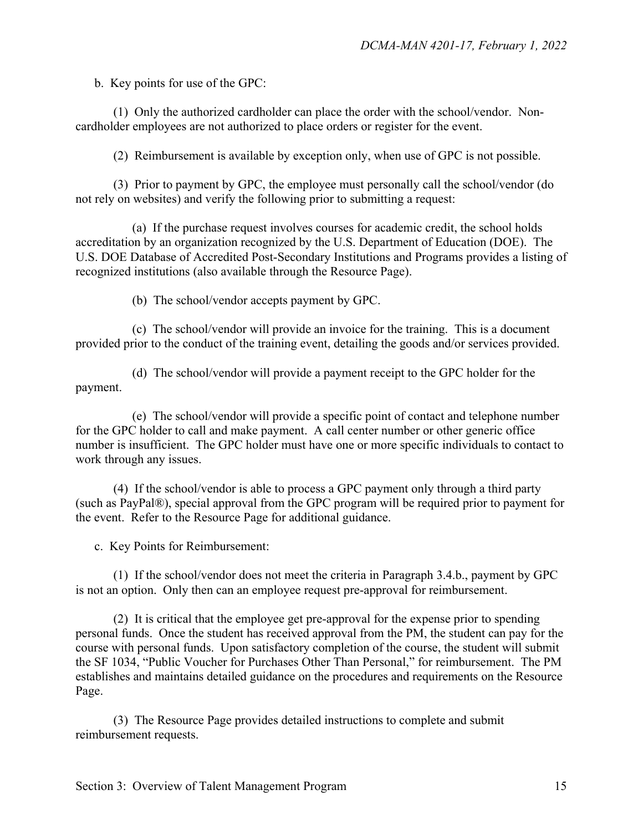b. Key points for use of the GPC:

(1) Only the authorized cardholder can place the order with the school/vendor. Noncardholder employees are not authorized to place orders or register for the event.

(2) Reimbursement is available by exception only, when use of GPC is not possible.

(3) Prior to payment by GPC, the employee must personally call the school/vendor (do not rely on websites) and verify the following prior to submitting a request:

(a) If the purchase request involves courses for academic credit, the school holds accreditation by an organization recognized by the U.S. Department of Education (DOE). The U.S. DOE Database of Accredited Post-Secondary Institutions and Programs provides a listing of recognized institutions (also available through the Resource Page).

(b) The school/vendor accepts payment by GPC.

(c) The school/vendor will provide an invoice for the training. This is a document provided prior to the conduct of the training event, detailing the goods and/or services provided.

(d) The school/vendor will provide a payment receipt to the GPC holder for the payment.

(e) The school/vendor will provide a specific point of contact and telephone number for the GPC holder to call and make payment. A call center number or other generic office number is insufficient. The GPC holder must have one or more specific individuals to contact to work through any issues.

 (4) If the school/vendor is able to process a GPC payment only through a third party (such as PayPal®), special approval from the GPC program will be required prior to payment for the event. Refer to the Resource Page for additional guidance.

c. Key Points for Reimbursement:

(1) If the school/vendor does not meet the criteria in Paragraph 3.4.b., payment by GPC is not an option. Only then can an employee request pre-approval for reimbursement.

(2) It is critical that the employee get pre-approval for the expense prior to spending personal funds. Once the student has received approval from the PM, the student can pay for the course with personal funds. Upon satisfactory completion of the course, the student will submit the SF 1034, "Public Voucher for Purchases Other Than Personal," for reimbursement. The PM establishes and maintains detailed guidance on the procedures and requirements on the Resource Page.

(3) The Resource Page provides detailed instructions to complete and submit reimbursement requests.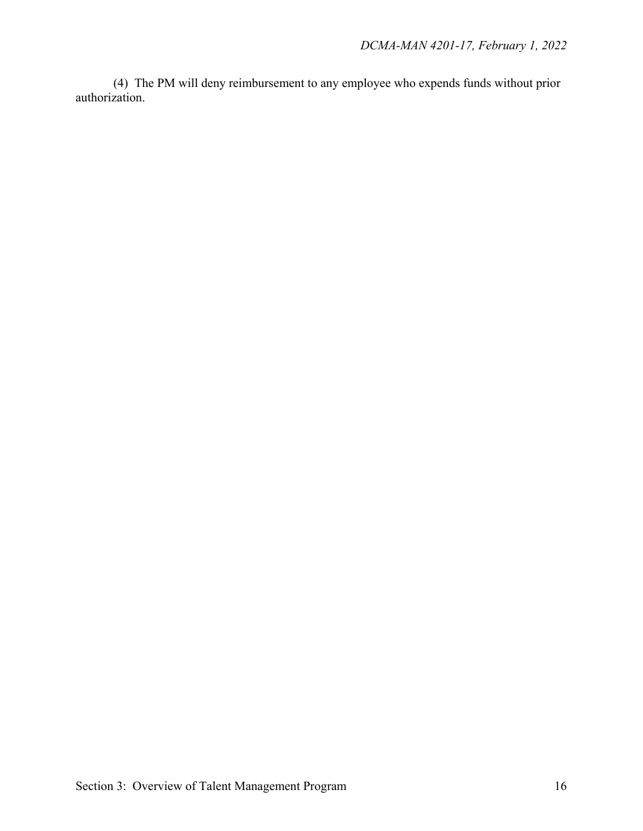(4) The PM will deny reimbursement to any employee who expends funds without prior authorization.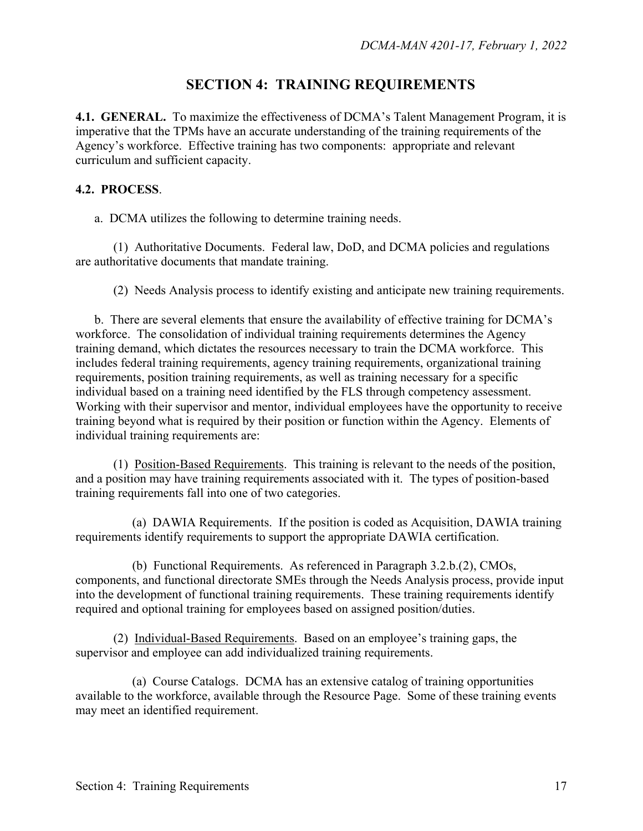## **SECTION 4: TRAINING REQUIREMENTS**

**4.1. GENERAL.** To maximize the effectiveness of DCMA's Talent Management Program, it is imperative that the TPMs have an accurate understanding of the training requirements of the Agency's workforce. Effective training has two components: appropriate and relevant curriculum and sufficient capacity.

#### **4.2. PROCESS**.

a. DCMA utilizes the following to determine training needs.

 (1)Authoritative Documents.Federal law, DoD, and DCMA policies and regulations are authoritative documents that mandate training.

(2)Needs Analysis process to identify existing and anticipate new training requirements.

 b. There are several elements that ensure the availability of effective training for DCMA's workforce. The consolidation of individual training requirements determines the Agency training demand, which dictates the resources necessary to train the DCMA workforce. This includes federal training requirements, agency training requirements, organizational training requirements, position training requirements, as well as training necessary for a specific individual based on a training need identified by the FLS through competency assessment. Working with their supervisor and mentor, individual employees have the opportunity to receive training beyond what is required by their position or function within the Agency. Elements of individual training requirements are:

 (1) Position-Based Requirements. This training is relevant to the needs of the position, and a position may have training requirements associated with it. The types of position-based training requirements fall into one of two categories.

 (a) DAWIA Requirements. If the position is coded as Acquisition, DAWIA training requirements identify requirements to support the appropriate DAWIA certification.

 (b) Functional Requirements. As referenced in Paragraph 3.2.b.(2), CMOs, components, and functional directorate SMEs through the Needs Analysis process, provide input into the development of functional training requirements. These training requirements identify required and optional training for employees based on assigned position/duties.

 (2) Individual-Based Requirements. Based on an employee's training gaps, the supervisor and employee can add individualized training requirements.

 (a) Course Catalogs. DCMA has an extensive catalog of training opportunities available to the workforce, available through the Resource Page. Some of these training events may meet an identified requirement.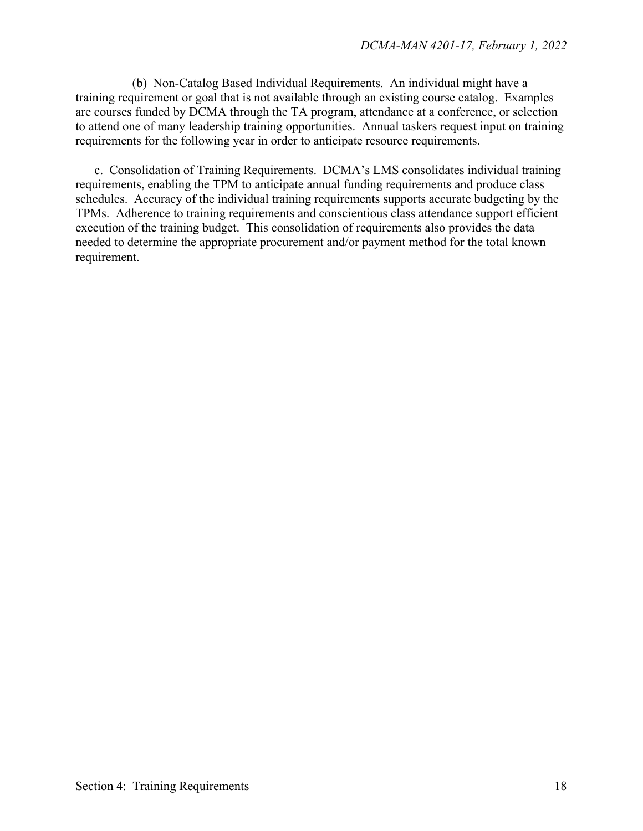(b) Non-Catalog Based Individual Requirements. An individual might have a training requirement or goal that is not available through an existing course catalog. Examples are courses funded by DCMA through the TA program, attendance at a conference, or selection to attend one of many leadership training opportunities. Annual taskers request input on training requirements for the following year in order to anticipate resource requirements.

c. Consolidation of Training Requirements.DCMA's LMS consolidates individual training requirements, enabling the TPM to anticipate annual funding requirements and produce class schedules. Accuracy of the individual training requirements supports accurate budgeting by the TPMs. Adherence to training requirements and conscientious class attendance support efficient execution of the training budget. This consolidation of requirements also provides the data needed to determine the appropriate procurement and/or payment method for the total known requirement.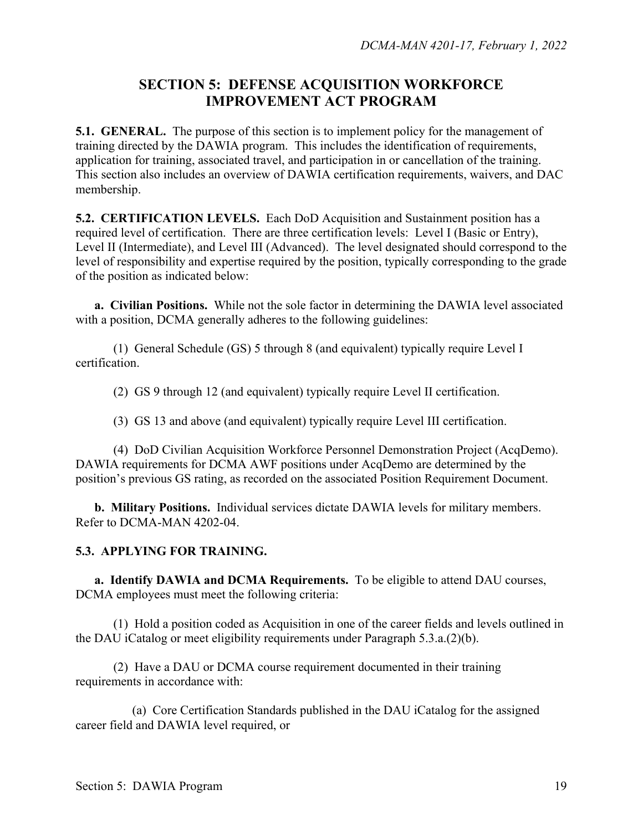## **SECTION 5: DEFENSE ACQUISITION WORKFORCE IMPROVEMENT ACT PROGRAM**

**5.1. GENERAL.** The purpose of this section is to implement policy for the management of training directed by the DAWIA program. This includes the identification of requirements, application for training, associated travel, and participation in or cancellation of the training. This section also includes an overview of DAWIA certification requirements, waivers, and DAC membership.

**5.2. CERTIFICATION LEVELS.** Each DoD Acquisition and Sustainment position has a required level of certification. There are three certification levels: Level I (Basic or Entry), Level II (Intermediate), and Level III (Advanced). The level designated should correspond to the level of responsibility and expertise required by the position, typically corresponding to the grade of the position as indicated below:

**a. Civilian Positions.** While not the sole factor in determining the DAWIA level associated with a position, DCMA generally adheres to the following guidelines:

(1) General Schedule (GS) 5 through 8 (and equivalent) typically require Level I certification.

(2) GS 9 through 12 (and equivalent) typically require Level II certification.

(3) GS 13 and above (and equivalent) typically require Level III certification.

(4) DoD Civilian Acquisition Workforce Personnel Demonstration Project (AcqDemo). DAWIA requirements for DCMA AWF positions under AcqDemo are determined by the position's previous GS rating, as recorded on the associated Position Requirement Document.

**b. Military Positions.** Individual services dictate DAWIA levels for military members. Refer to DCMA-MAN 4202-04.

#### **5.3. APPLYING FOR TRAINING.**

**a. Identify DAWIA and DCMA Requirements.** To be eligible to attend DAU courses, DCMA employees must meet the following criteria:

(1) Hold a position coded as Acquisition in one of the career fields and levels outlined in the DAU iCatalog or meet eligibility requirements under Paragraph 5.3.a.(2)(b).

(2) Have a DAU or DCMA course requirement documented in their training requirements in accordance with:

(a) Core Certification Standards published in the DAU iCatalog for the assigned career field and DAWIA level required, or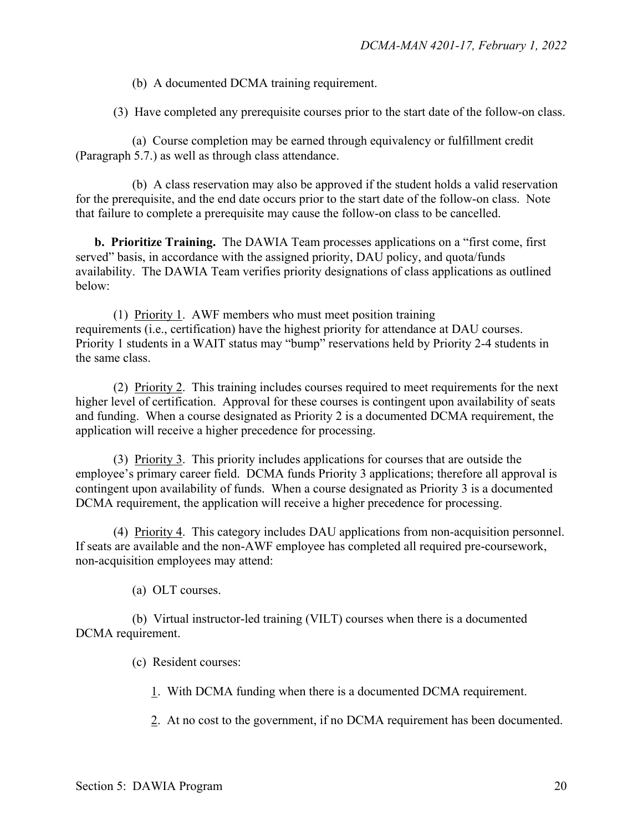(b) A documented DCMA training requirement.

(3) Have completed any prerequisite courses prior to the start date of the follow-on class.

(a) Course completion may be earned through equivalency or fulfillment credit (Paragraph 5.7.) as well as through class attendance.

(b) A class reservation may also be approved if the student holds a valid reservation for the prerequisite, and the end date occurs prior to the start date of the follow-on class. Note that failure to complete a prerequisite may cause the follow-on class to be cancelled.

**b. Prioritize Training.** The DAWIA Team processes applications on a "first come, first served" basis, in accordance with the assigned priority, DAU policy, and quota/funds availability. The DAWIA Team verifies priority designations of class applications as outlined below:

(1) Priority 1. AWF members who must meet position training requirements (i.e., certification) have the highest priority for attendance at DAU courses. Priority 1 students in a WAIT status may "bump" reservations held by Priority 2-4 students in the same class.

(2) Priority 2. This training includes courses required to meet requirements for the next higher level of certification. Approval for these courses is contingent upon availability of seats and funding. When a course designated as Priority 2 is a documented DCMA requirement, the application will receive a higher precedence for processing.

(3) Priority 3. This priority includes applications for courses that are outside the employee's primary career field. DCMA funds Priority 3 applications; therefore all approval is contingent upon availability of funds. When a course designated as Priority 3 is a documented DCMA requirement, the application will receive a higher precedence for processing.

(4) Priority 4. This category includes DAU applications from non-acquisition personnel. If seats are available and the non-AWF employee has completed all required pre-coursework, non-acquisition employees may attend:

(a) OLT courses.

(b) Virtual instructor-led training (VILT) courses when there is a documented DCMA requirement.

(c) Resident courses:

1. With DCMA funding when there is a documented DCMA requirement.

2. At no cost to the government, if no DCMA requirement has been documented.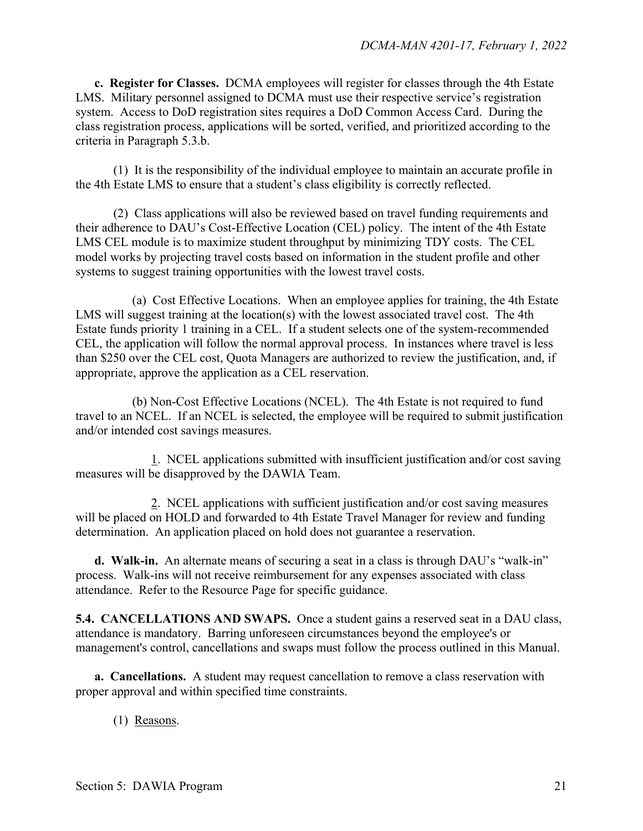**c. Register for Classes.** DCMA employees will register for classes through the 4th Estate LMS. Military personnel assigned to DCMA must use their respective service's registration system. Access to DoD registration sites requires a DoD Common Access Card. During the class registration process, applications will be sorted, verified, and prioritized according to the criteria in Paragraph 5.3.b.

(1) It is the responsibility of the individual employee to maintain an accurate profile in the 4th Estate LMS to ensure that a student's class eligibility is correctly reflected.

(2) Class applications will also be reviewed based on travel funding requirements and their adherence to DAU's Cost-Effective Location (CEL) policy. The intent of the 4th Estate LMS CEL module is to maximize student throughput by minimizing TDY costs. The CEL model works by projecting travel costs based on information in the student profile and other systems to suggest training opportunities with the lowest travel costs.

(a) Cost Effective Locations. When an employee applies for training, the 4th Estate LMS will suggest training at the location(s) with the lowest associated travel cost. The 4th Estate funds priority 1 training in a CEL. If a student selects one of the system-recommended CEL, the application will follow the normal approval process. In instances where travel is less than \$250 over the CEL cost, Quota Managers are authorized to review the justification, and, if appropriate, approve the application as a CEL reservation.

(b) Non-Cost Effective Locations (NCEL). The 4th Estate is not required to fund travel to an NCEL. If an NCEL is selected, the employee will be required to submit justification and/or intended cost savings measures.

1. NCEL applications submitted with insufficient justification and/or cost saving measures will be disapproved by the DAWIA Team.

2. NCEL applications with sufficient justification and/or cost saving measures will be placed on HOLD and forwarded to 4th Estate Travel Manager for review and funding determination. An application placed on hold does not guarantee a reservation.

**d. Walk-in.** An alternate means of securing a seat in a class is through DAU's "walk-in" process. Walk-ins will not receive reimbursement for any expenses associated with class attendance. Refer to the Resource Page for specific guidance.

**5.4. CANCELLATIONS AND SWAPS.** Once a student gains a reserved seat in a DAU class, attendance is mandatory. Barring unforeseen circumstances beyond the employee's or management's control, cancellations and swaps must follow the process outlined in this Manual.

**a. Cancellations.** A student may request cancellation to remove a class reservation with proper approval and within specified time constraints.

(1) Reasons.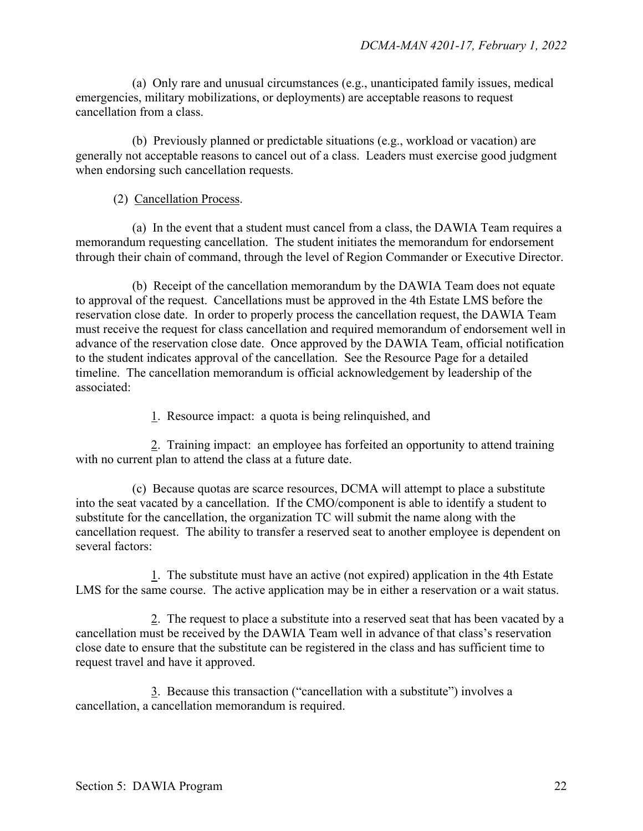(a) Only rare and unusual circumstances (e.g., unanticipated family issues, medical emergencies, military mobilizations, or deployments) are acceptable reasons to request cancellation from a class.

(b) Previously planned or predictable situations (e.g., workload or vacation) are generally not acceptable reasons to cancel out of a class. Leaders must exercise good judgment when endorsing such cancellation requests.

#### (2) Cancellation Process.

(a) In the event that a student must cancel from a class, the DAWIA Team requires a memorandum requesting cancellation. The student initiates the memorandum for endorsement through their chain of command, through the level of Region Commander or Executive Director.

(b) Receipt of the cancellation memorandum by the DAWIA Team does not equate to approval of the request. Cancellations must be approved in the 4th Estate LMS before the reservation close date. In order to properly process the cancellation request, the DAWIA Team must receive the request for class cancellation and required memorandum of endorsement well in advance of the reservation close date. Once approved by the DAWIA Team, official notification to the student indicates approval of the cancellation. See the Resource Page for a detailed timeline. The cancellation memorandum is official acknowledgement by leadership of the associated:

1. Resource impact: a quota is being relinquished, and

 2. Training impact: an employee has forfeited an opportunity to attend training with no current plan to attend the class at a future date.

(c) Because quotas are scarce resources, DCMA will attempt to place a substitute into the seat vacated by a cancellation. If the CMO/component is able to identify a student to substitute for the cancellation, the organization TC will submit the name along with the cancellation request. The ability to transfer a reserved seat to another employee is dependent on several factors:

1. The substitute must have an active (not expired) application in the 4th Estate LMS for the same course. The active application may be in either a reservation or a wait status.

2. The request to place a substitute into a reserved seat that has been vacated by a cancellation must be received by the DAWIA Team well in advance of that class's reservation close date to ensure that the substitute can be registered in the class and has sufficient time to request travel and have it approved.

3. Because this transaction ("cancellation with a substitute") involves a cancellation, a cancellation memorandum is required.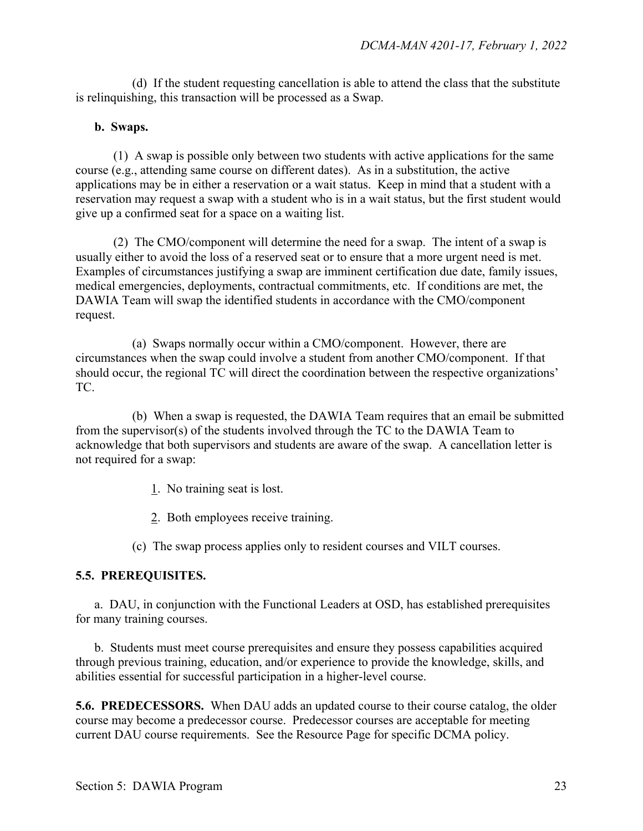(d) If the student requesting cancellation is able to attend the class that the substitute is relinquishing, this transaction will be processed as a Swap.

#### **b. Swaps.**

(1) A swap is possible only between two students with active applications for the same course (e.g., attending same course on different dates). As in a substitution, the active applications may be in either a reservation or a wait status. Keep in mind that a student with a reservation may request a swap with a student who is in a wait status, but the first student would give up a confirmed seat for a space on a waiting list.

(2) The CMO/component will determine the need for a swap. The intent of a swap is usually either to avoid the loss of a reserved seat or to ensure that a more urgent need is met. Examples of circumstances justifying a swap are imminent certification due date, family issues, medical emergencies, deployments, contractual commitments, etc. If conditions are met, the DAWIA Team will swap the identified students in accordance with the CMO/component request.

(a) Swaps normally occur within a CMO/component. However, there are circumstances when the swap could involve a student from another CMO/component. If that should occur, the regional TC will direct the coordination between the respective organizations' TC.

(b) When a swap is requested, the DAWIA Team requires that an email be submitted from the supervisor(s) of the students involved through the TC to the DAWIA Team to acknowledge that both supervisors and students are aware of the swap. A cancellation letter is not required for a swap:

1. No training seat is lost.

2. Both employees receive training.

(c) The swap process applies only to resident courses and VILT courses.

#### **5.5. PREREQUISITES.**

a. DAU, in conjunction with the Functional Leaders at OSD, has established prerequisites for many training courses.

b. Students must meet course prerequisites and ensure they possess capabilities acquired through previous training, education, and/or experience to provide the knowledge, skills, and abilities essential for successful participation in a higher-level course.

**5.6. PREDECESSORS.** When DAU adds an updated course to their course catalog, the older course may become a predecessor course. Predecessor courses are acceptable for meeting current DAU course requirements. See the Resource Page for specific DCMA policy.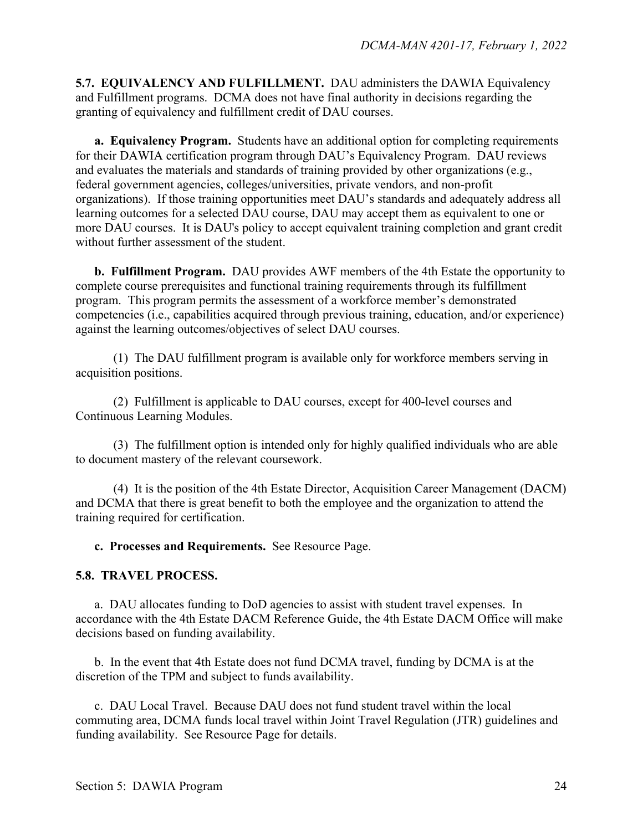**5.7. EQUIVALENCY AND FULFILLMENT.** DAU administers the DAWIA Equivalency and Fulfillment programs. DCMA does not have final authority in decisions regarding the granting of equivalency and fulfillment credit of DAU courses.

**a. Equivalency Program.** Students have an additional option for completing requirements for their DAWIA certification program through DAU's Equivalency Program. DAU reviews and evaluates the materials and standards of training provided by other organizations (e.g., federal government agencies, colleges/universities, private vendors, and non-profit organizations). If those training opportunities meet DAU's standards and adequately address all learning outcomes for a selected DAU course, DAU may accept them as equivalent to one or more DAU courses. It is DAU's policy to accept equivalent training completion and grant credit without further assessment of the student.

**b. Fulfillment Program.** DAU provides AWF members of the 4th Estate the opportunity to complete course prerequisites and functional training requirements through its fulfillment program. This program permits the assessment of a workforce member's demonstrated competencies (i.e., capabilities acquired through previous training, education, and/or experience) against the learning outcomes/objectives of select DAU courses.

(1) The DAU fulfillment program is available only for workforce members serving in acquisition positions.

(2) Fulfillment is applicable to DAU courses, except for 400-level courses and Continuous Learning Modules.

(3) The fulfillment option is intended only for highly qualified individuals who are able to document mastery of the relevant coursework.

(4) It is the position of the 4th Estate Director, Acquisition Career Management (DACM) and DCMA that there is great benefit to both the employee and the organization to attend the training required for certification.

**c. Processes and Requirements.** See Resource Page.

#### **5.8. TRAVEL PROCESS.**

a. DAU allocates funding to DoD agencies to assist with student travel expenses. In accordance with the 4th Estate DACM Reference Guide, the 4th Estate DACM Office will make decisions based on funding availability.

b. In the event that 4th Estate does not fund DCMA travel, funding by DCMA is at the discretion of the TPM and subject to funds availability.

c. DAU Local Travel. Because DAU does not fund student travel within the local commuting area, DCMA funds local travel within Joint Travel Regulation (JTR) guidelines and funding availability. See Resource Page for details.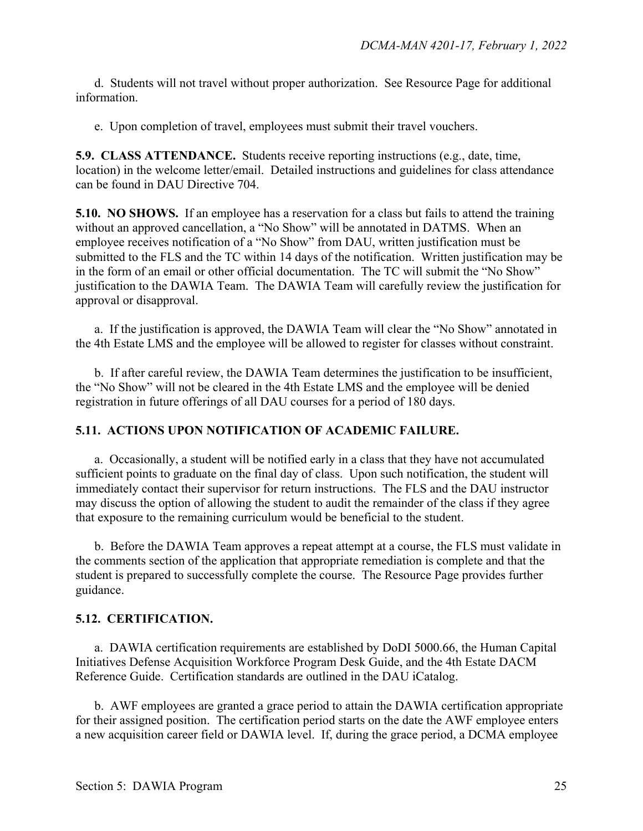d. Students will not travel without proper authorization. See Resource Page for additional information.

e. Upon completion of travel, employees must submit their travel vouchers.

**5.9. CLASS ATTENDANCE.** Students receive reporting instructions (e.g., date, time, location) in the welcome letter/email. Detailed instructions and guidelines for class attendance can be found in DAU Directive 704.

**5.10. NO SHOWS.** If an employee has a reservation for a class but fails to attend the training without an approved cancellation, a "No Show" will be annotated in DATMS. When an employee receives notification of a "No Show" from DAU, written justification must be submitted to the FLS and the TC within 14 days of the notification. Written justification may be in the form of an email or other official documentation. The TC will submit the "No Show" justification to the DAWIA Team. The DAWIA Team will carefully review the justification for approval or disapproval.

a.If the justification is approved, the DAWIA Team will clear the "No Show" annotated in the 4th Estate LMS and the employee will be allowed to register for classes without constraint.

b. If after careful review, the DAWIA Team determines the justification to be insufficient, the "No Show" will not be cleared in the 4th Estate LMS and the employee will be denied registration in future offerings of all DAU courses for a period of 180 days.

#### **5.11. ACTIONS UPON NOTIFICATION OF ACADEMIC FAILURE.**

a. Occasionally, a student will be notified early in a class that they have not accumulated sufficient points to graduate on the final day of class. Upon such notification, the student will immediately contact their supervisor for return instructions. The FLS and the DAU instructor may discuss the option of allowing the student to audit the remainder of the class if they agree that exposure to the remaining curriculum would be beneficial to the student.

b. Before the DAWIA Team approves a repeat attempt at a course, the FLS must validate in the comments section of the application that appropriate remediation is complete and that the student is prepared to successfully complete the course. The Resource Page provides further guidance.

#### **5.12. CERTIFICATION.**

a. DAWIA certification requirements are established by DoDI 5000.66, the Human Capital Initiatives Defense Acquisition Workforce Program Desk Guide, and the 4th Estate DACM Reference Guide. Certification standards are outlined in the DAU iCatalog.

 b. AWF employees are granted a grace period to attain the DAWIA certification appropriate for their assigned position. The certification period starts on the date the AWF employee enters a new acquisition career field or DAWIA level. If, during the grace period, a DCMA employee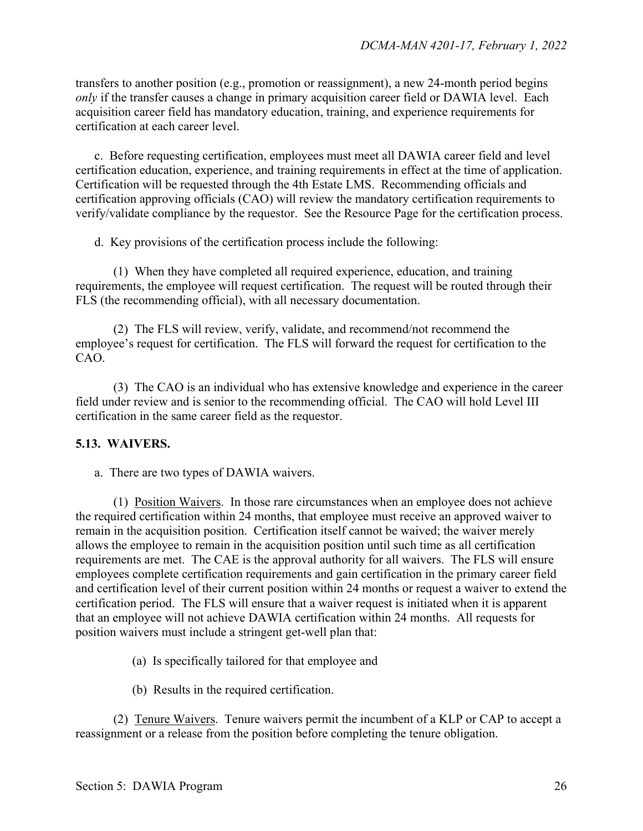transfers to another position (e.g., promotion or reassignment), a new 24-month period begins *only* if the transfer causes a change in primary acquisition career field or DAWIA level. Each acquisition career field has mandatory education, training, and experience requirements for certification at each career level.

c. Before requesting certification, employees must meet all DAWIA career field and level certification education, experience, and training requirements in effect at the time of application. Certification will be requested through the 4th Estate LMS. Recommending officials and certification approving officials (CAO) will review the mandatory certification requirements to verify/validate compliance by the requestor. See the Resource Page for the certification process.

d. Key provisions of the certification process include the following:

(1) When they have completed all required experience, education, and training requirements, the employee will request certification. The request will be routed through their FLS (the recommending official), with all necessary documentation.

(2) The FLS will review, verify, validate, and recommend/not recommend the employee's request for certification. The FLS will forward the request for certification to the CAO.

(3) The CAO is an individual who has extensive knowledge and experience in the career field under review and is senior to the recommending official. The CAO will hold Level III certification in the same career field as the requestor.

#### **5.13. WAIVERS.**

a. There are two types of DAWIA waivers.

(1) Position Waivers. In those rare circumstances when an employee does not achieve the required certification within 24 months, that employee must receive an approved waiver to remain in the acquisition position. Certification itself cannot be waived; the waiver merely allows the employee to remain in the acquisition position until such time as all certification requirements are met. The CAE is the approval authority for all waivers. The FLS will ensure employees complete certification requirements and gain certification in the primary career field and certification level of their current position within 24 months or request a waiver to extend the certification period. The FLS will ensure that a waiver request is initiated when it is apparent that an employee will not achieve DAWIA certification within 24 months. All requests for position waivers must include a stringent get-well plan that:

- (a) Is specifically tailored for that employee and
- (b) Results in the required certification.

(2) Tenure Waivers. Tenure waivers permit the incumbent of a KLP or CAP to accept a reassignment or a release from the position before completing the tenure obligation.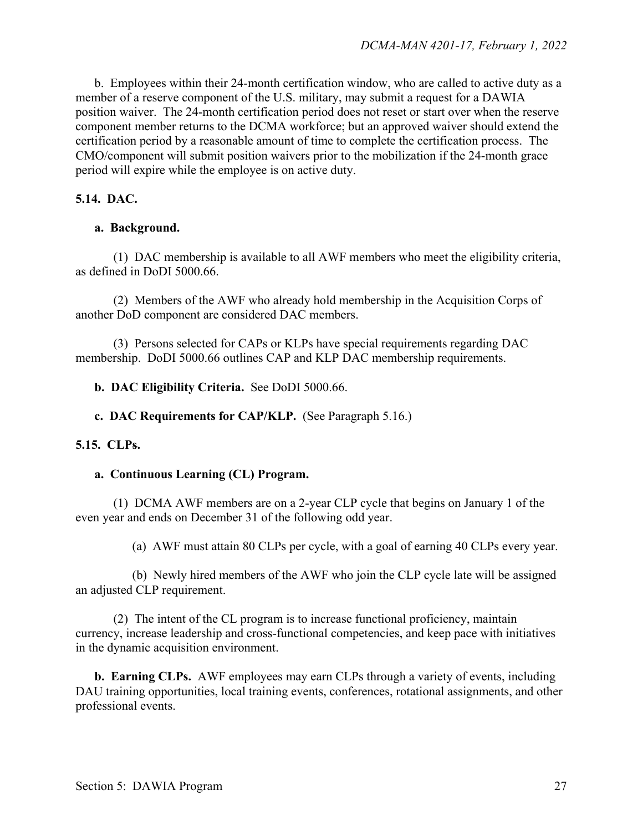b. Employees within their 24-month certification window, who are called to active duty as a member of a reserve component of the U.S. military, may submit a request for a DAWIA position waiver. The 24-month certification period does not reset or start over when the reserve component member returns to the DCMA workforce; but an approved waiver should extend the certification period by a reasonable amount of time to complete the certification process. The CMO/component will submit position waivers prior to the mobilization if the 24-month grace period will expire while the employee is on active duty.

#### **5.14. DAC.**

#### **a. Background.**

(1) DAC membership is available to all AWF members who meet the eligibility criteria, as defined in DoDI 5000.66.

(2) Members of the AWF who already hold membership in the Acquisition Corps of another DoD component are considered DAC members.

(3) Persons selected for CAPs or KLPs have special requirements regarding DAC membership. DoDI 5000.66 outlines CAP and KLP DAC membership requirements.

 **b. DAC Eligibility Criteria.** See DoDI 5000.66.

 **c. DAC Requirements for CAP/KLP.** (See Paragraph 5.16.)

#### **5.15. CLPs.**

#### **a. Continuous Learning (CL) Program.**

(1) DCMA AWF members are on a 2-year CLP cycle that begins on January 1 of the even year and ends on December 31 of the following odd year.

(a) AWF must attain 80 CLPs per cycle, with a goal of earning 40 CLPs every year.

(b) Newly hired members of the AWF who join the CLP cycle late will be assigned an adjusted CLP requirement.

(2) The intent of the CL program is to increase functional proficiency, maintain currency, increase leadership and cross-functional competencies, and keep pace with initiatives in the dynamic acquisition environment.

**b. Earning CLPs.** AWF employees may earn CLPs through a variety of events, including DAU training opportunities, local training events, conferences, rotational assignments, and other professional events.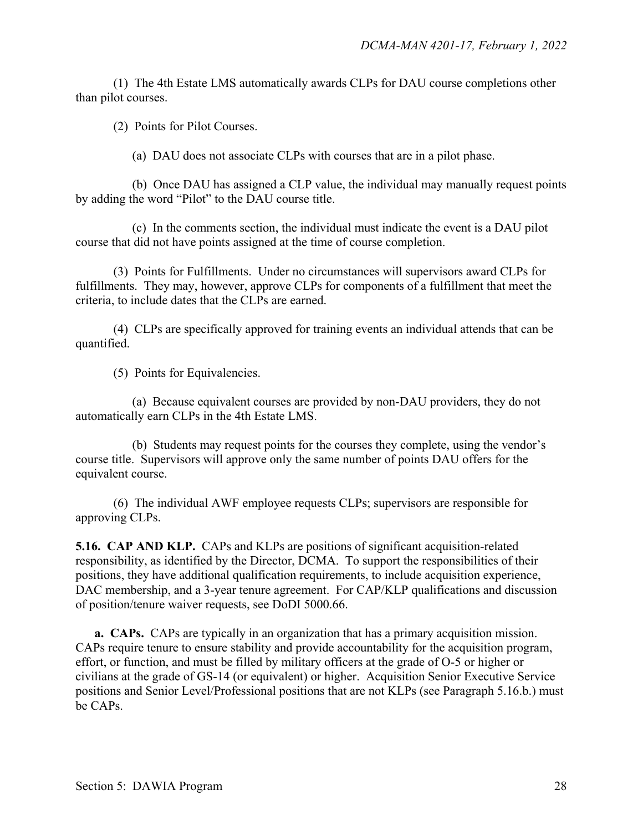(1) The 4th Estate LMS automatically awards CLPs for DAU course completions other than pilot courses.

(2) Points for Pilot Courses.

(a) DAU does not associate CLPs with courses that are in a pilot phase.

(b) Once DAU has assigned a CLP value, the individual may manually request points by adding the word "Pilot" to the DAU course title.

(c) In the comments section, the individual must indicate the event is a DAU pilot course that did not have points assigned at the time of course completion.

(3) Points for Fulfillments. Under no circumstances will supervisors award CLPs for fulfillments. They may, however, approve CLPs for components of a fulfillment that meet the criteria, to include dates that the CLPs are earned.

(4) CLPs are specifically approved for training events an individual attends that can be quantified.

(5) Points for Equivalencies.

(a) Because equivalent courses are provided by non-DAU providers, they do not automatically earn CLPs in the 4th Estate LMS.

(b) Students may request points for the courses they complete, using the vendor's course title. Supervisors will approve only the same number of points DAU offers for the equivalent course.

(6) The individual AWF employee requests CLPs; supervisors are responsible for approving CLPs.

**5.16. CAP AND KLP.** CAPs and KLPs are positions of significant acquisition-related responsibility, as identified by the Director, DCMA. To support the responsibilities of their positions, they have additional qualification requirements, to include acquisition experience, DAC membership, and a 3-year tenure agreement. For CAP/KLP qualifications and discussion of position/tenure waiver requests, see DoDI 5000.66.

**a. CAPs.** CAPs are typically in an organization that has a primary acquisition mission. CAPs require tenure to ensure stability and provide accountability for the acquisition program, effort, or function, and must be filled by military officers at the grade of O-5 or higher or civilians at the grade of GS-14 (or equivalent) or higher. Acquisition Senior Executive Service positions and Senior Level/Professional positions that are not KLPs (see Paragraph 5.16.b.) must be CAPs.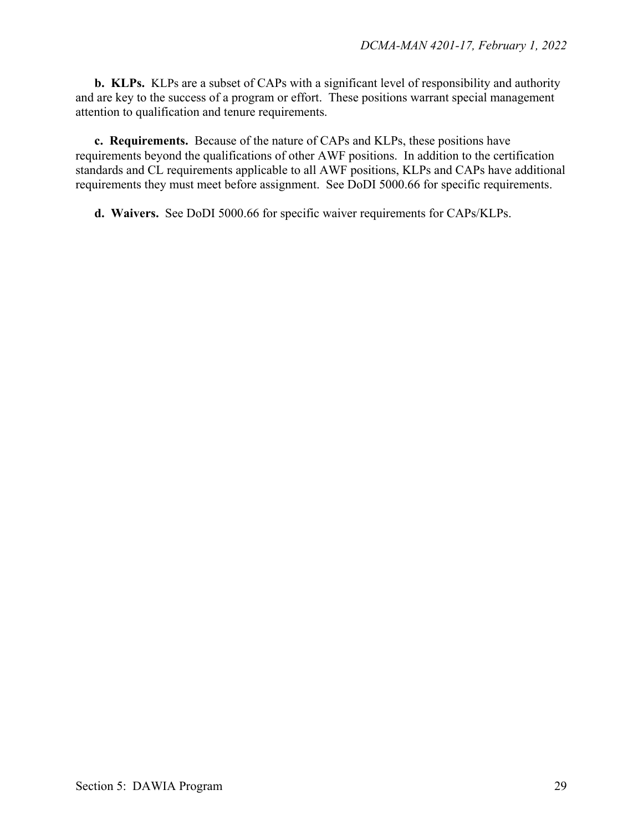**b. KLPs.** KLPs are a subset of CAPs with a significant level of responsibility and authority and are key to the success of a program or effort. These positions warrant special management attention to qualification and tenure requirements.

**c. Requirements.** Because of the nature of CAPs and KLPs, these positions have requirements beyond the qualifications of other AWF positions. In addition to the certification standards and CL requirements applicable to all AWF positions, KLPs and CAPs have additional requirements they must meet before assignment. See DoDI 5000.66 for specific requirements.

**d. Waivers.** See DoDI 5000.66 for specific waiver requirements for CAPs/KLPs.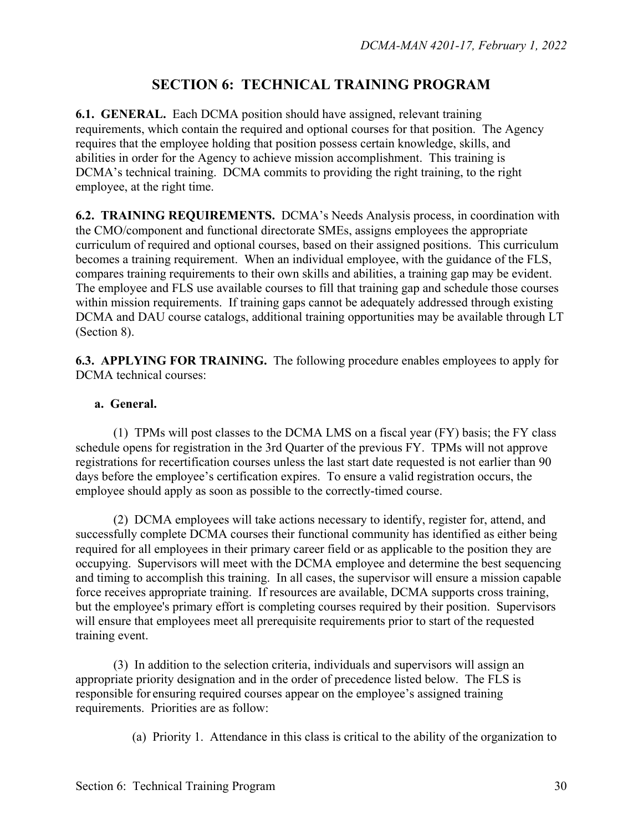## **SECTION 6: TECHNICAL TRAINING PROGRAM**

**6.1. GENERAL.** Each DCMA position should have assigned, relevant training requirements, which contain the required and optional courses for that position. The Agency requires that the employee holding that position possess certain knowledge, skills, and abilities in order for the Agency to achieve mission accomplishment. This training is DCMA's technical training. DCMA commits to providing the right training, to the right employee, at the right time.

**6.2. TRAINING REQUIREMENTS.** DCMA's Needs Analysis process, in coordination with the CMO/component and functional directorate SMEs, assigns employees the appropriate curriculum of required and optional courses, based on their assigned positions. This curriculum becomes a training requirement. When an individual employee, with the guidance of the FLS, compares training requirements to their own skills and abilities, a training gap may be evident. The employee and FLS use available courses to fill that training gap and schedule those courses within mission requirements. If training gaps cannot be adequately addressed through existing DCMA and DAU course catalogs, additional training opportunities may be available through LT (Section 8).

**6.3. APPLYING FOR TRAINING.** The following procedure enables employees to apply for DCMA technical courses:

#### **a. General.**

(1) TPMs will post classes to the DCMA LMS on a fiscal year (FY) basis; the FY class schedule opens for registration in the 3rd Quarter of the previous FY. TPMs will not approve registrations for recertification courses unless the last start date requested is not earlier than 90 days before the employee's certification expires. To ensure a valid registration occurs, the employee should apply as soon as possible to the correctly-timed course.

 (2) DCMA employees will take actions necessary to identify, register for, attend, and successfully complete DCMA courses their functional community has identified as either being required for all employees in their primary career field or as applicable to the position they are occupying. Supervisors will meet with the DCMA employee and determine the best sequencing and timing to accomplish this training. In all cases, the supervisor will ensure a mission capable force receives appropriate training. If resources are available, DCMA supports cross training, but the employee's primary effort is completing courses required by their position. Supervisors will ensure that employees meet all prerequisite requirements prior to start of the requested training event.

 (3) In addition to the selection criteria, individuals and supervisors will assign an appropriate priority designation and in the order of precedence listed below. The FLS is responsible for ensuring required courses appear on the employee's assigned training requirements. Priorities are as follow:

(a) Priority 1. Attendance in this class is critical to the ability of the organization to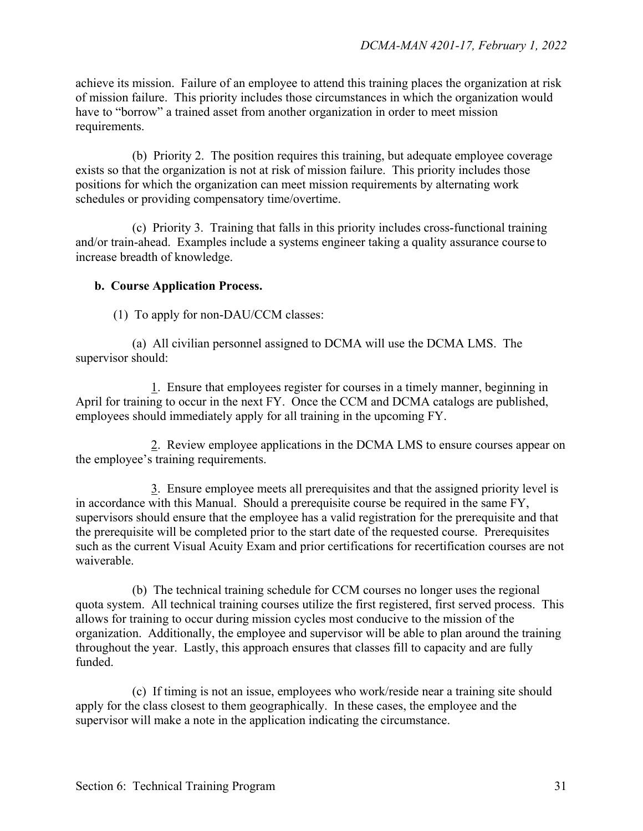achieve its mission. Failure of an employee to attend this training places the organization at risk of mission failure. This priority includes those circumstances in which the organization would have to "borrow" a trained asset from another organization in order to meet mission requirements.

 (b) Priority 2. The position requires this training, but adequate employee coverage exists so that the organization is not at risk of mission failure. This priority includes those positions for which the organization can meet mission requirements by alternating work schedules or providing compensatory time/overtime.

 (c) Priority 3. Training that falls in this priority includes cross-functional training and/or train-ahead. Examples include a systems engineer taking a quality assurance course to increase breadth of knowledge.

#### **b. Course Application Process.**

(1) To apply for non-DAU/CCM classes:

(a) All civilian personnel assigned to DCMA will use the DCMA LMS. The supervisor should:

1. Ensure that employees register for courses in a timely manner, beginning in April for training to occur in the next FY. Once the CCM and DCMA catalogs are published, employees should immediately apply for all training in the upcoming FY.

2. Review employee applications in the DCMA LMS to ensure courses appear on the employee's training requirements.

3. Ensure employee meets all prerequisites and that the assigned priority level is in accordance with this Manual. Should a prerequisite course be required in the same FY, supervisors should ensure that the employee has a valid registration for the prerequisite and that the prerequisite will be completed prior to the start date of the requested course. Prerequisites such as the current Visual Acuity Exam and prior certifications for recertification courses are not waiverable.

 (b) The technical training schedule for CCM courses no longer uses the regional quota system. All technical training courses utilize the first registered, first served process. This allows for training to occur during mission cycles most conducive to the mission of the organization. Additionally, the employee and supervisor will be able to plan around the training throughout the year. Lastly, this approach ensures that classes fill to capacity and are fully funded.

 (c) If timing is not an issue, employees who work/reside near a training site should apply for the class closest to them geographically. In these cases, the employee and the supervisor will make a note in the application indicating the circumstance.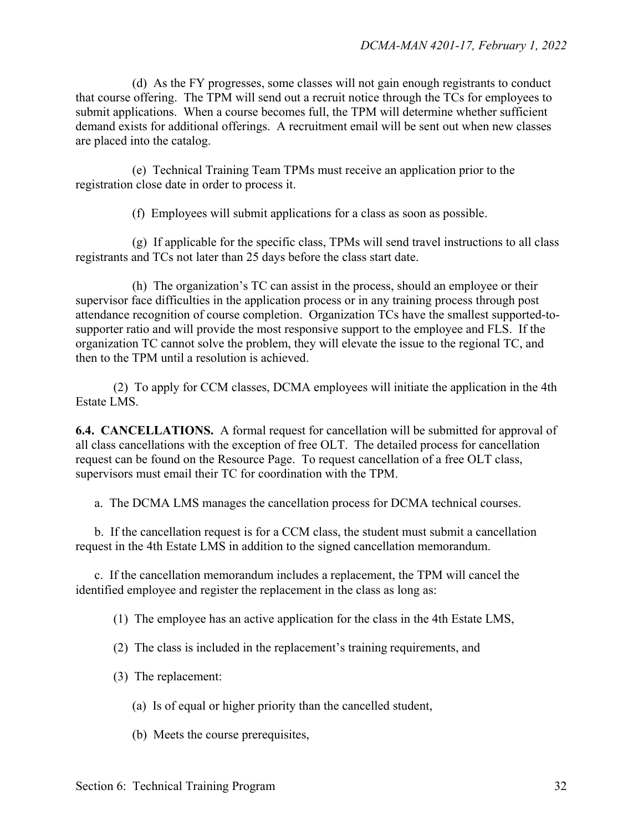(d) As the FY progresses, some classes will not gain enough registrants to conduct that course offering. The TPM will send out a recruit notice through the TCs for employees to submit applications. When a course becomes full, the TPM will determine whether sufficient demand exists for additional offerings. A recruitment email will be sent out when new classes are placed into the catalog.

 (e) Technical Training Team TPMs must receive an application prior to the registration close date in order to process it.

(f) Employees will submit applications for a class as soon as possible.

 (g) If applicable for the specific class, TPMs will send travel instructions to all class registrants and TCs not later than 25 days before the class start date.

 (h) The organization's TC can assist in the process, should an employee or their supervisor face difficulties in the application process or in any training process through post attendance recognition of course completion. Organization TCs have the smallest supported-tosupporter ratio and will provide the most responsive support to the employee and FLS. If the organization TC cannot solve the problem, they will elevate the issue to the regional TC, and then to the TPM until a resolution is achieved.

 (2) To apply for CCM classes, DCMA employees will initiate the application in the 4th Estate LMS.

**6.4. CANCELLATIONS.** A formal request for cancellation will be submitted for approval of all class cancellations with the exception of free OLT. The detailed process for cancellation request can be found on the Resource Page. To request cancellation of a free OLT class, supervisors must email their TC for coordination with the TPM.

a. The DCMA LMS manages the cancellation process for DCMA technical courses.

 b. If the cancellation request is for a CCM class, the student must submit a cancellation request in the 4th Estate LMS in addition to the signed cancellation memorandum.

c. If the cancellation memorandum includes a replacement, the TPM will cancel the identified employee and register the replacement in the class as long as:

(1) The employee has an active application for the class in the 4th Estate LMS,

- (2) The class is included in the replacement's training requirements, and
- (3) The replacement:
	- (a) Is of equal or higher priority than the cancelled student,
	- (b) Meets the course prerequisites,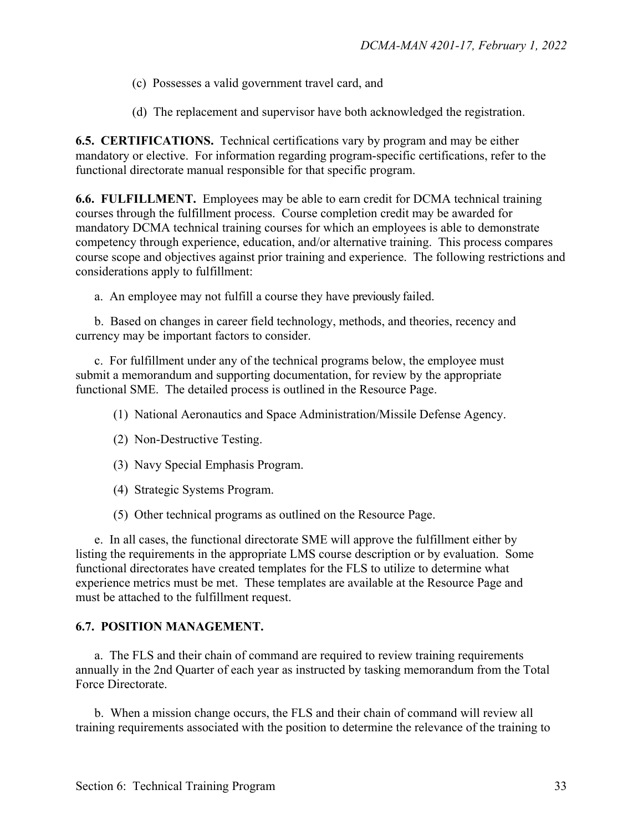- (c) Possesses a valid government travel card, and
- (d) The replacement and supervisor have both acknowledged the registration.

**6.5. CERTIFICATIONS.** Technical certifications vary by program and may be either mandatory or elective. For information regarding program-specific certifications, refer to the functional directorate manual responsible for that specific program.

**6.6. FULFILLMENT.** Employees may be able to earn credit for DCMA technical training courses through the fulfillment process. Course completion credit may be awarded for mandatory DCMA technical training courses for which an employees is able to demonstrate competency through experience, education, and/or alternative training. This process compares course scope and objectives against prior training and experience. The following restrictions and considerations apply to fulfillment:

a. An employee may not fulfill a course they have previously failed.

 b. Based on changes in career field technology, methods, and theories, recency and currency may be important factors to consider.

 c. For fulfillment under any of the technical programs below, the employee must submit a memorandum and supporting documentation, for review by the appropriate functional SME. The detailed process is outlined in the Resource Page.

- (1) National Aeronautics and Space Administration/Missile Defense Agency.
- (2) Non-Destructive Testing.
- (3) Navy Special Emphasis Program.
- (4) Strategic Systems Program.
- (5) Other technical programs as outlined on the Resource Page.

 e. In all cases, the functional directorate SME will approve the fulfillment either by listing the requirements in the appropriate LMS course description or by evaluation. Some functional directorates have created templates for the FLS to utilize to determine what experience metrics must be met. These templates are available at the Resource Page and must be attached to the fulfillment request.

#### **6.7. POSITION MANAGEMENT.**

 a. The FLS and their chain of command are required to review training requirements annually in the 2nd Quarter of each year as instructed by tasking memorandum from the Total Force Directorate.

b. When a mission change occurs, the FLS and their chain of command will review all training requirements associated with the position to determine the relevance of the training to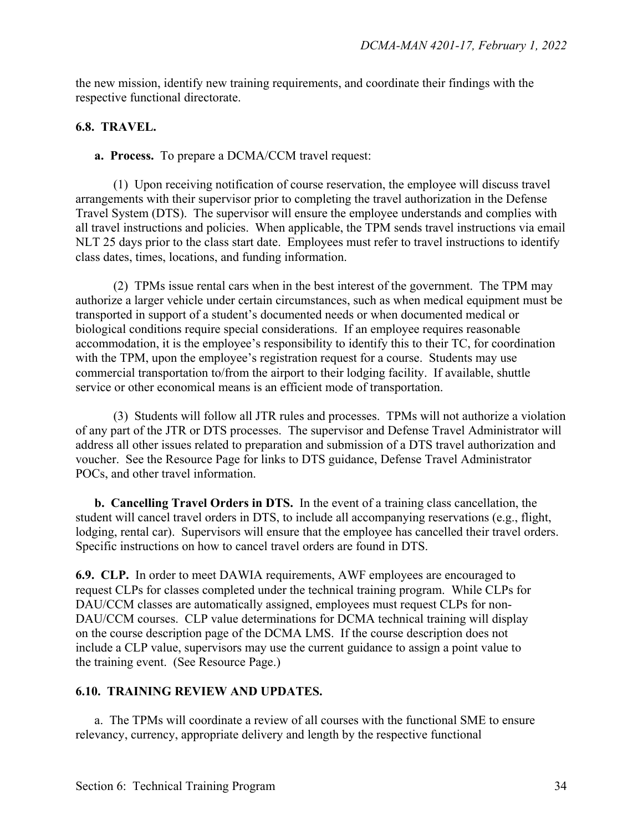the new mission, identify new training requirements, and coordinate their findings with the respective functional directorate.

#### **6.8. TRAVEL.**

**a. Process.** To prepare a DCMA/CCM travel request:

(1) Upon receiving notification of course reservation, the employee will discuss travel arrangements with their supervisor prior to completing the travel authorization in the Defense Travel System (DTS). The supervisor will ensure the employee understands and complies with all travel instructions and policies. When applicable, the TPM sends travel instructions via email NLT 25 days prior to the class start date. Employees must refer to travel instructions to identify class dates, times, locations, and funding information.

(2) TPMs issue rental cars when in the best interest of the government. The TPM may authorize a larger vehicle under certain circumstances, such as when medical equipment must be transported in support of a student's documented needs or when documented medical or biological conditions require special considerations. If an employee requires reasonable accommodation, it is the employee's responsibility to identify this to their TC, for coordination with the TPM, upon the employee's registration request for a course. Students may use commercial transportation to/from the airport to their lodging facility. If available, shuttle service or other economical means is an efficient mode of transportation.

(3) Students will follow all JTR rules and processes. TPMs will not authorize a violation of any part of the JTR or DTS processes. The supervisor and Defense Travel Administrator will address all other issues related to preparation and submission of a DTS travel authorization and voucher. See the Resource Page for links to DTS guidance, Defense Travel Administrator POCs, and other travel information.

**b. Cancelling Travel Orders in DTS.** In the event of a training class cancellation, the student will cancel travel orders in DTS, to include all accompanying reservations (e.g., flight, lodging, rental car). Supervisors will ensure that the employee has cancelled their travel orders. Specific instructions on how to cancel travel orders are found in DTS.

**6.9. CLP.** In order to meet DAWIA requirements, AWF employees are encouraged to request CLPs for classes completed under the technical training program. While CLPs for DAU/CCM classes are automatically assigned, employees must request CLPs for non-DAU/CCM courses. CLP value determinations for DCMA technical training will display on the course description page of the DCMA LMS. If the course description does not include a CLP value, supervisors may use the current guidance to assign a point value to the training event. (See Resource Page.)

#### **6.10. TRAINING REVIEW AND UPDATES.**

 a. The TPMs will coordinate a review of all courses with the functional SME to ensure relevancy, currency, appropriate delivery and length by the respective functional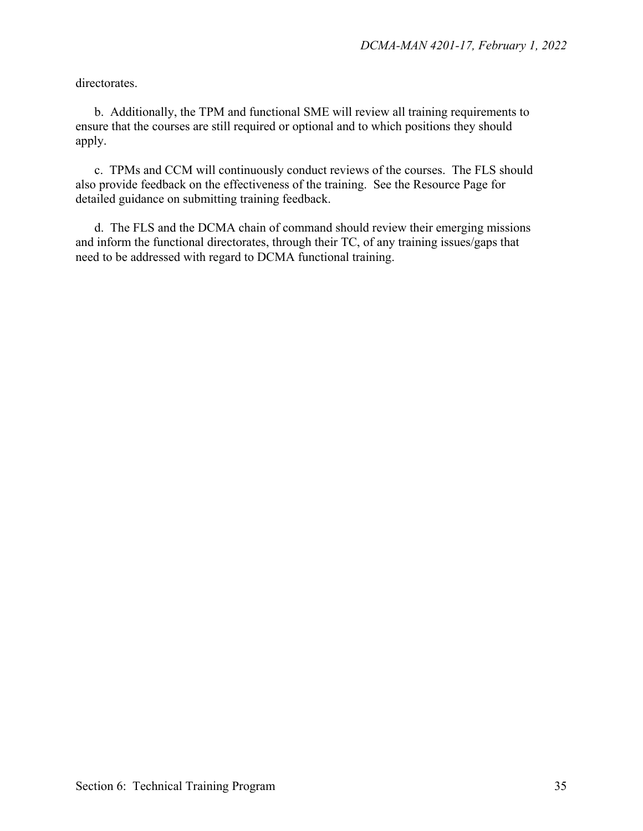directorates.

 b. Additionally, the TPM and functional SME will review all training requirements to ensure that the courses are still required or optional and to which positions they should apply.

 c. TPMs and CCM will continuously conduct reviews of the courses. The FLS should also provide feedback on the effectiveness of the training. See the Resource Page for detailed guidance on submitting training feedback.

 d. The FLS and the DCMA chain of command should review their emerging missions and inform the functional directorates, through their TC, of any training issues/gaps that need to be addressed with regard to DCMA functional training.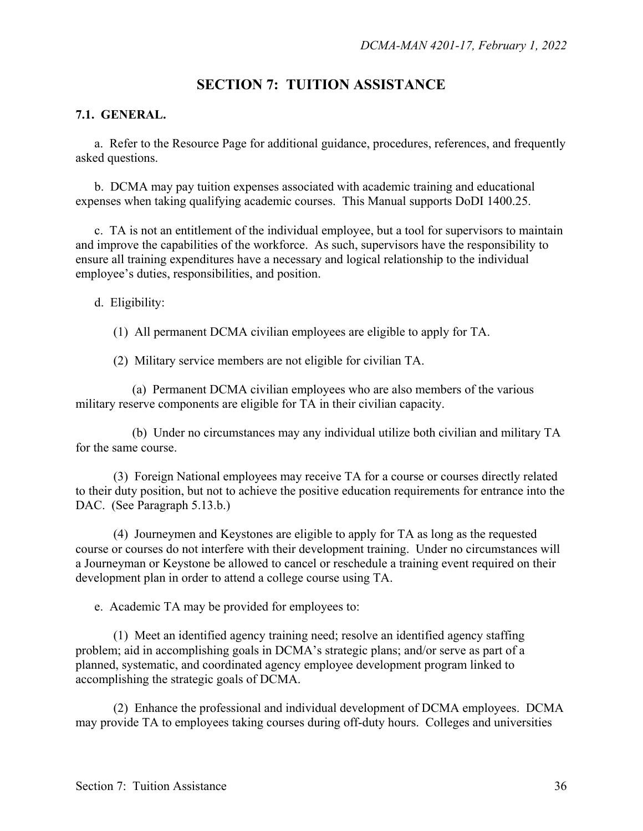## **SECTION 7: TUITION ASSISTANCE**

#### **7.1. GENERAL.**

a. Refer to the Resource Page for additional guidance, procedures, references, and frequently asked questions.

b. DCMA may pay tuition expenses associated with academic training and educational expenses when taking qualifying academic courses. This Manual supports DoDI 1400.25.

 c. TA is not an entitlement of the individual employee, but a tool for supervisors to maintain and improve the capabilities of the workforce. As such, supervisors have the responsibility to ensure all training expenditures have a necessary and logical relationship to the individual employee's duties, responsibilities, and position.

d. Eligibility:

(1) All permanent DCMA civilian employees are eligible to apply for TA.

(2) Military service members are not eligible for civilian TA.

(a) Permanent DCMA civilian employees who are also members of the various military reserve components are eligible for TA in their civilian capacity.

(b) Under no circumstances may any individual utilize both civilian and military TA for the same course.

 (3) Foreign National employees may receive TA for a course or courses directly related to their duty position, but not to achieve the positive education requirements for entrance into the DAC. (See Paragraph 5.13.b.)

 (4) Journeymen and Keystones are eligible to apply for TA as long as the requested course or courses do not interfere with their development training. Under no circumstances will a Journeyman or Keystone be allowed to cancel or reschedule a training event required on their development plan in order to attend a college course using TA.

e. Academic TA may be provided for employees to:

(1) Meet an identified agency training need; resolve an identified agency staffing problem; aid in accomplishing goals in DCMA's strategic plans; and/or serve as part of a planned, systematic, and coordinated agency employee development program linked to accomplishing the strategic goals of DCMA.

 (2) Enhance the professional and individual development of DCMA employees. DCMA may provide TA to employees taking courses during off-duty hours. Colleges and universities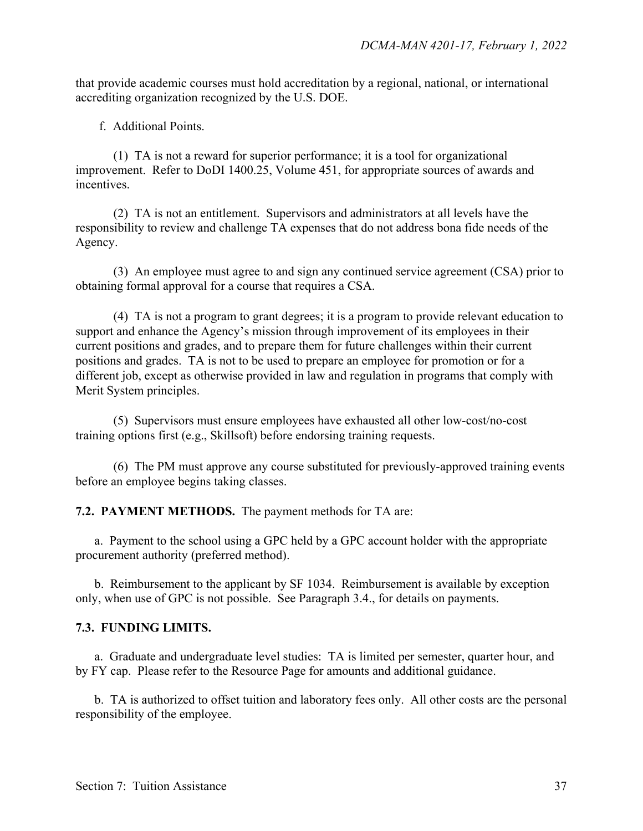that provide academic courses must hold accreditation by a regional, national, or international accrediting organization recognized by the U.S. DOE.

f. Additional Points.

(1) TA is not a reward for superior performance; it is a tool for organizational improvement. Refer to DoDI 1400.25, Volume 451, for appropriate sources of awards and incentives.

(2) TA is not an entitlement. Supervisors and administrators at all levels have the responsibility to review and challenge TA expenses that do not address bona fide needs of the Agency.

(3) An employee must agree to and sign any continued service agreement (CSA) prior to obtaining formal approval for a course that requires a CSA.

(4) TA is not a program to grant degrees; it is a program to provide relevant education to support and enhance the Agency's mission through improvement of its employees in their current positions and grades, and to prepare them for future challenges within their current positions and grades. TA is not to be used to prepare an employee for promotion or for a different job, except as otherwise provided in law and regulation in programs that comply with Merit System principles.

(5) Supervisors must ensure employees have exhausted all other low-cost/no-cost training options first (e.g., Skillsoft) before endorsing training requests.

(6) The PM must approve any course substituted for previously-approved training events before an employee begins taking classes.

**7.2. PAYMENT METHODS.** The payment methods for TA are:

a. Payment to the school using a GPC held by a GPC account holder with the appropriate procurement authority (preferred method).

b. Reimbursement to the applicant by SF 1034. Reimbursement is available by exception only, when use of GPC is not possible. See Paragraph 3.4., for details on payments.

#### **7.3. FUNDING LIMITS.**

 a. Graduate and undergraduate level studies: TA is limited per semester, quarter hour, and by FY cap. Please refer to the Resource Page for amounts and additional guidance.

 b. TA is authorized to offset tuition and laboratory fees only. All other costs are the personal responsibility of the employee.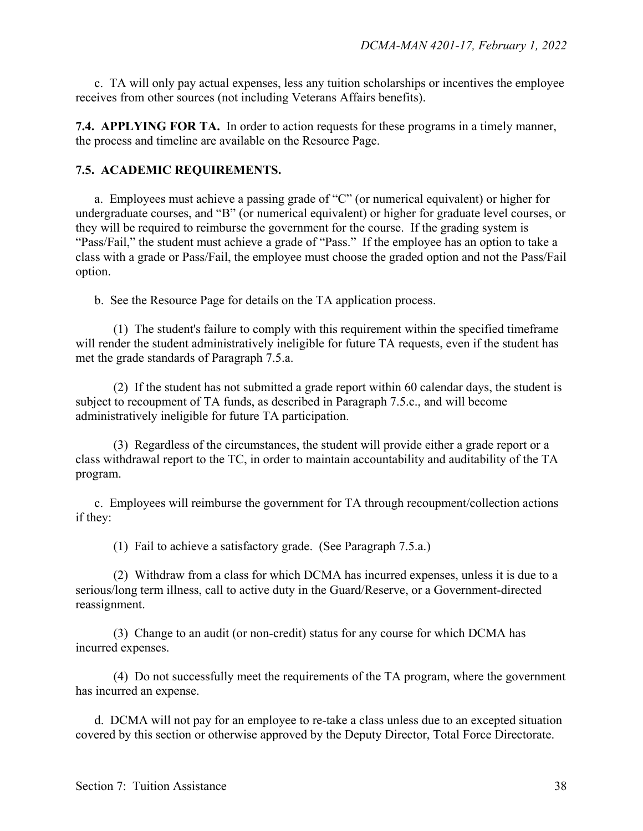c. TA will only pay actual expenses, less any tuition scholarships or incentives the employee receives from other sources (not including Veterans Affairs benefits).

**7.4. APPLYING FOR TA.** In order to action requests for these programs in a timely manner, the process and timeline are available on the Resource Page.

#### **7.5. ACADEMIC REQUIREMENTS.**

 a. Employees must achieve a passing grade of "C" (or numerical equivalent) or higher for undergraduate courses, and "B" (or numerical equivalent) or higher for graduate level courses, or they will be required to reimburse the government for the course. If the grading system is "Pass/Fail," the student must achieve a grade of "Pass." If the employee has an option to take a class with a grade or Pass/Fail, the employee must choose the graded option and not the Pass/Fail option.

b. See the Resource Page for details on the TA application process.

(1) The student's failure to comply with this requirement within the specified timeframe will render the student administratively ineligible for future TA requests, even if the student has met the grade standards of Paragraph 7.5.a.

(2) If the student has not submitted a grade report within 60 calendar days, the student is subject to recoupment of TA funds, as described in Paragraph 7.5.c., and will become administratively ineligible for future TA participation.

(3) Regardless of the circumstances, the student will provide either a grade report or a class withdrawal report to the TC, in order to maintain accountability and auditability of the TA program.

c. Employees will reimburse the government for TA through recoupment/collection actions if they:

(1) Fail to achieve a satisfactory grade. (See Paragraph 7.5.a.)

 (2) Withdraw from a class for which DCMA has incurred expenses, unless it is due to a serious/long term illness, call to active duty in the Guard/Reserve, or a Government-directed reassignment.

 (3) Change to an audit (or non-credit) status for any course for which DCMA has incurred expenses.

 (4) Do not successfully meet the requirements of the TA program, where the government has incurred an expense.

 d. DCMA will not pay for an employee to re-take a class unless due to an excepted situation covered by this section or otherwise approved by the Deputy Director, Total Force Directorate.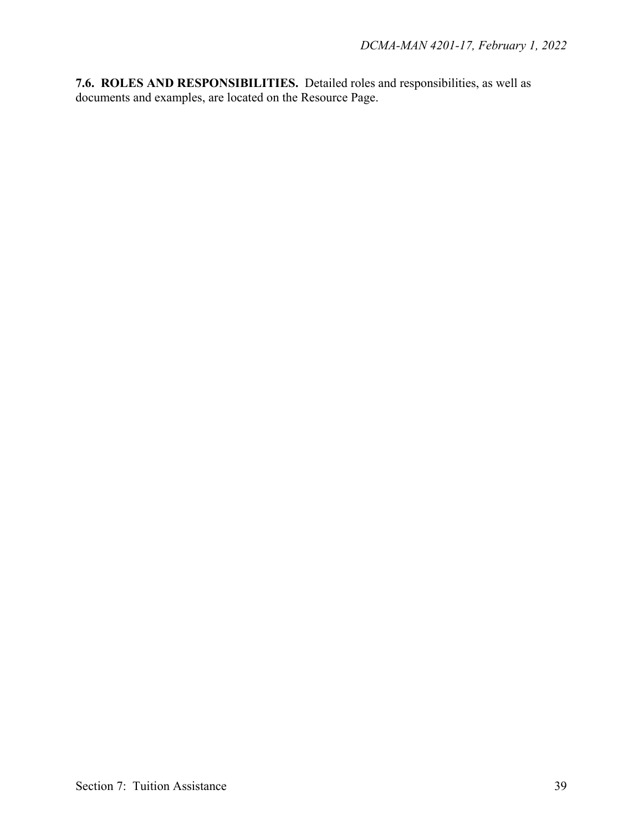**7.6. ROLES AND RESPONSIBILITIES.** Detailed roles and responsibilities, as well as documents and examples, are located on the Resource Page.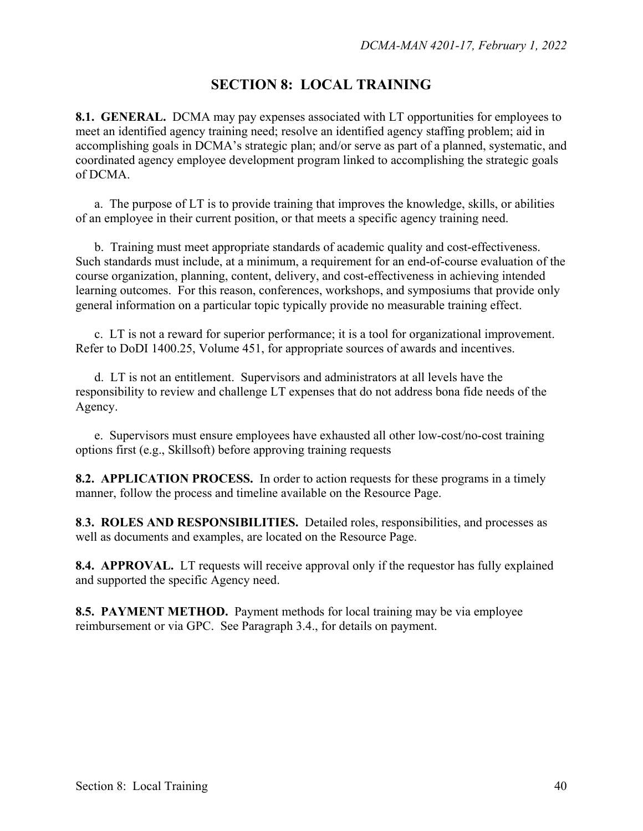## **SECTION 8: LOCAL TRAINING**

**8.1. GENERAL.** DCMA may pay expenses associated with LT opportunities for employees to meet an identified agency training need; resolve an identified agency staffing problem; aid in accomplishing goals in DCMA's strategic plan; and/or serve as part of a planned, systematic, and coordinated agency employee development program linked to accomplishing the strategic goals of DCMA.

 a. The purpose of LT is to provide training that improves the knowledge, skills, or abilities of an employee in their current position, or that meets a specific agency training need.

b. Training must meet appropriate standards of academic quality and cost-effectiveness. Such standards must include, at a minimum, a requirement for an end-of-course evaluation of the course organization, planning, content, delivery, and cost-effectiveness in achieving intended learning outcomes. For this reason, conferences, workshops, and symposiums that provide only general information on a particular topic typically provide no measurable training effect.

c. LT is not a reward for superior performance; it is a tool for organizational improvement. Refer to DoDI 1400.25, Volume 451, for appropriate sources of awards and incentives.

d. LT is not an entitlement. Supervisors and administrators at all levels have the responsibility to review and challenge LT expenses that do not address bona fide needs of the Agency.

e. Supervisors must ensure employees have exhausted all other low-cost/no-cost training options first (e.g., Skillsoft) before approving training requests

**8.2. APPLICATION PROCESS.** In order to action requests for these programs in a timely manner, follow the process and timeline available on the Resource Page.

**8**.**3. ROLES AND RESPONSIBILITIES.** Detailed roles, responsibilities, and processes as well as documents and examples, are located on the Resource Page.

**8.4. APPROVAL.** LT requests will receive approval only if the requestor has fully explained and supported the specific Agency need.

**8.5. PAYMENT METHOD.** Payment methods for local training may be via employee reimbursement or via GPC. See Paragraph 3.4., for details on payment.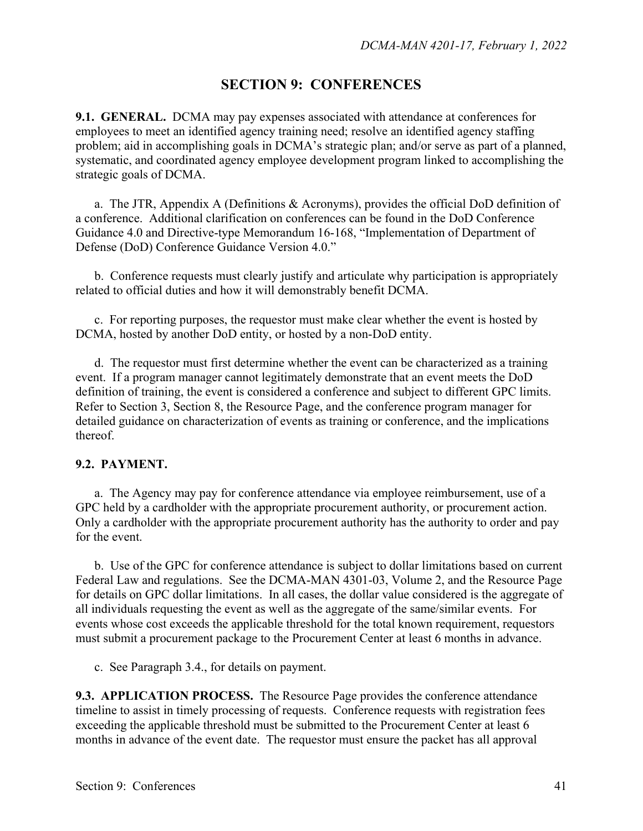## **SECTION 9: CONFERENCES**

**9.1. GENERAL.** DCMA may pay expenses associated with attendance at conferences for employees to meet an identified agency training need; resolve an identified agency staffing problem; aid in accomplishing goals in DCMA's strategic plan; and/or serve as part of a planned, systematic, and coordinated agency employee development program linked to accomplishing the strategic goals of DCMA.

a. The JTR, Appendix A (Definitions & Acronyms), provides the official DoD definition of a conference. Additional clarification on conferences can be found in the DoD Conference Guidance 4.0 and Directive-type Memorandum 16-168, "Implementation of Department of Defense (DoD) Conference Guidance Version 4.0."

b. Conference requests must clearly justify and articulate why participation is appropriately related to official duties and how it will demonstrably benefit DCMA.

c. For reporting purposes, the requestor must make clear whether the event is hosted by DCMA, hosted by another DoD entity, or hosted by a non-DoD entity.

d. The requestor must first determine whether the event can be characterized as a training event. If a program manager cannot legitimately demonstrate that an event meets the DoD definition of training, the event is considered a conference and subject to different GPC limits. Refer to Section 3, Section 8, the Resource Page, and the conference program manager for detailed guidance on characterization of events as training or conference, and the implications thereof.

#### **9.2. PAYMENT.**

a. The Agency may pay for conference attendance via employee reimbursement, use of a GPC held by a cardholder with the appropriate procurement authority, or procurement action. Only a cardholder with the appropriate procurement authority has the authority to order and pay for the event.

b. Use of the GPC for conference attendance is subject to dollar limitations based on current Federal Law and regulations. See the DCMA-MAN 4301-03, Volume 2, and the Resource Page for details on GPC dollar limitations. In all cases, the dollar value considered is the aggregate of all individuals requesting the event as well as the aggregate of the same/similar events. For events whose cost exceeds the applicable threshold for the total known requirement, requestors must submit a procurement package to the Procurement Center at least 6 months in advance.

c. See Paragraph 3.4., for details on payment.

**9.3. APPLICATION PROCESS.** The Resource Page provides the conference attendance timeline to assist in timely processing of requests. Conference requests with registration fees exceeding the applicable threshold must be submitted to the Procurement Center at least 6 months in advance of the event date. The requestor must ensure the packet has all approval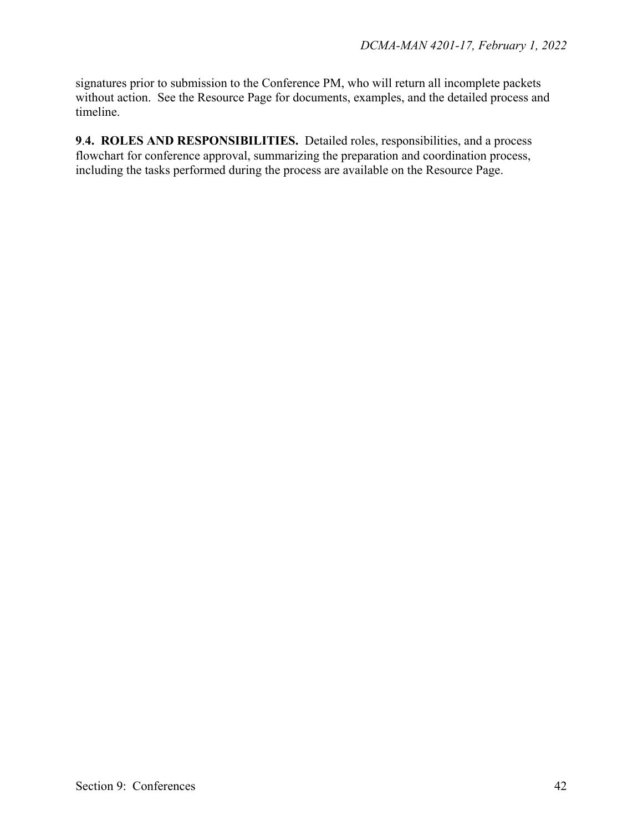signatures prior to submission to the Conference PM, who will return all incomplete packets without action. See the Resource Page for documents, examples, and the detailed process and timeline.

**9**.**4. ROLES AND RESPONSIBILITIES.** Detailed roles, responsibilities, and a process flowchart for conference approval, summarizing the preparation and coordination process, including the tasks performed during the process are available on the Resource Page.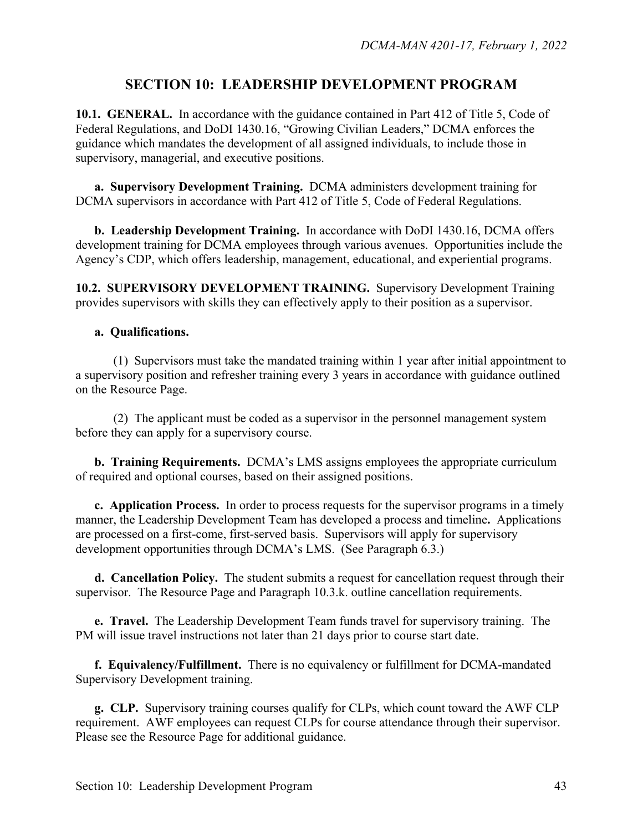## **SECTION 10: LEADERSHIP DEVELOPMENT PROGRAM**

**10.1. GENERAL.** In accordance with the guidance contained in Part 412 of Title 5, Code of Federal Regulations, and DoDI 1430.16, "Growing Civilian Leaders," DCMA enforces the guidance which mandates the development of all assigned individuals, to include those in supervisory, managerial, and executive positions.

**a. Supervisory Development Training.** DCMA administers development training for DCMA supervisors in accordance with Part 412 of Title 5, Code of Federal Regulations.

**b. Leadership Development Training.** In accordance with DoDI 1430.16, DCMA offers development training for DCMA employees through various avenues. Opportunities include the Agency's CDP, which offers leadership, management, educational, and experiential programs.

**10.2. SUPERVISORY DEVELOPMENT TRAINING.** Supervisory Development Training provides supervisors with skills they can effectively apply to their position as a supervisor.

#### **a. Qualifications.**

(1) Supervisors must take the mandated training within 1 year after initial appointment to a supervisory position and refresher training every 3 years in accordance with guidance outlined on the Resource Page.

(2) The applicant must be coded as a supervisor in the personnel management system before they can apply for a supervisory course.

**b. Training Requirements.** DCMA's LMS assigns employees the appropriate curriculum of required and optional courses, based on their assigned positions.

**c. Application Process.** In order to process requests for the supervisor programs in a timely manner, the Leadership Development Team has developed a process and timeline**.** Applications are processed on a first-come, first-served basis. Supervisors will apply for supervisory development opportunities through DCMA's LMS. (See Paragraph 6.3.)

**d. Cancellation Policy.** The student submits a request for cancellation request through their supervisor. The Resource Page and Paragraph 10.3.k. outline cancellation requirements.

**e. Travel.** The Leadership Development Team funds travel for supervisory training. The PM will issue travel instructions not later than 21 days prior to course start date.

**f. Equivalency/Fulfillment.** There is no equivalency or fulfillment for DCMA-mandated Supervisory Development training.

**g. CLP.** Supervisory training courses qualify for CLPs, which count toward the AWF CLP requirement. AWF employees can request CLPs for course attendance through their supervisor. Please see the Resource Page for additional guidance.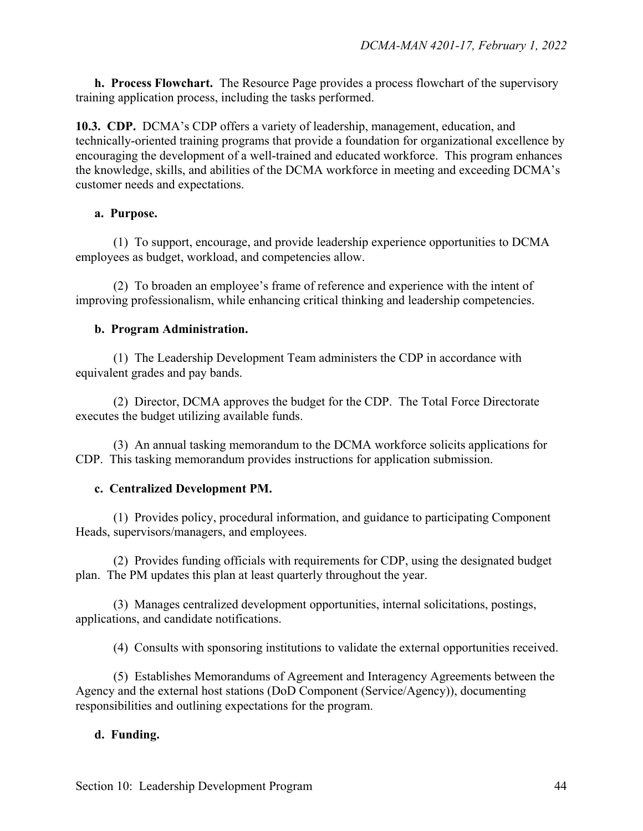**h. Process Flowchart.** The Resource Page provides a process flowchart of the supervisory training application process, including the tasks performed.

**10.3. CDP.** DCMA's CDP offers a variety of leadership, management, education, and technically-oriented training programs that provide a foundation for organizational excellence by encouraging the development of a well-trained and educated workforce. This program enhances the knowledge, skills, and abilities of the DCMA workforce in meeting and exceeding DCMA's customer needs and expectations.

#### **a. Purpose.**

(1) To support, encourage, and provide leadership experience opportunities to DCMA employees as budget, workload, and competencies allow.

(2) To broaden an employee's frame of reference and experience with the intent of improving professionalism, while enhancing critical thinking and leadership competencies.

#### **b. Program Administration.**

(1) The Leadership Development Team administers the CDP in accordance with equivalent grades and pay bands.

(2) Director, DCMA approves the budget for the CDP. The Total Force Directorate executes the budget utilizing available funds.

(3) An annual tasking memorandum to the DCMA workforce solicits applications for CDP. This tasking memorandum provides instructions for application submission.

#### **c. Centralized Development PM.**

(1) Provides policy, procedural information, and guidance to participating Component Heads, supervisors/managers, and employees.

(2) Provides funding officials with requirements for CDP, using the designated budget plan. The PM updates this plan at least quarterly throughout the year.

(3) Manages centralized development opportunities, internal solicitations, postings, applications, and candidate notifications.

(4) Consults with sponsoring institutions to validate the external opportunities received.

(5) Establishes Memorandums of Agreement and Interagency Agreements between the Agency and the external host stations (DoD Component (Service/Agency)), documenting responsibilities and outlining expectations for the program.

#### **d. Funding.**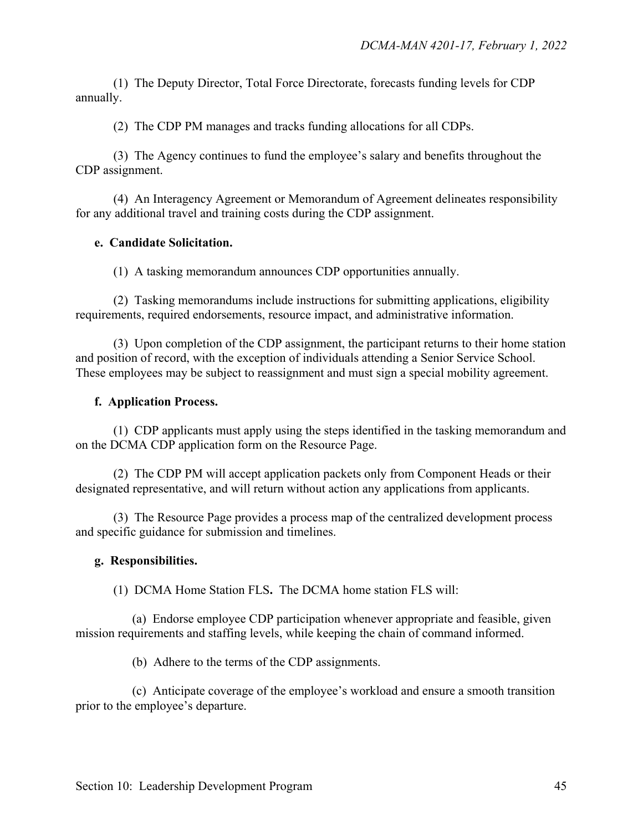(1) The Deputy Director, Total Force Directorate, forecasts funding levels for CDP annually.

(2) The CDP PM manages and tracks funding allocations for all CDPs.

(3) The Agency continues to fund the employee's salary and benefits throughout the CDP assignment.

(4) An Interagency Agreement or Memorandum of Agreement delineates responsibility for any additional travel and training costs during the CDP assignment.

#### **e. Candidate Solicitation.**

(1) A tasking memorandum announces CDP opportunities annually.

(2) Tasking memorandums include instructions for submitting applications, eligibility requirements, required endorsements, resource impact, and administrative information.

(3) Upon completion of the CDP assignment, the participant returns to their home station and position of record, with the exception of individuals attending a Senior Service School. These employees may be subject to reassignment and must sign a special mobility agreement.

#### **f. Application Process.**

(1) CDP applicants must apply using the steps identified in the tasking memorandum and on the DCMA CDP application form on the Resource Page.

(2) The CDP PM will accept application packets only from Component Heads or their designated representative, and will return without action any applications from applicants.

(3) The Resource Page provides a process map of the centralized development process and specific guidance for submission and timelines.

#### **g. Responsibilities.**

(1) DCMA Home Station FLS**.** The DCMA home station FLS will:

(a) Endorse employee CDP participation whenever appropriate and feasible, given mission requirements and staffing levels, while keeping the chain of command informed.

(b) Adhere to the terms of the CDP assignments.

(c) Anticipate coverage of the employee's workload and ensure a smooth transition prior to the employee's departure.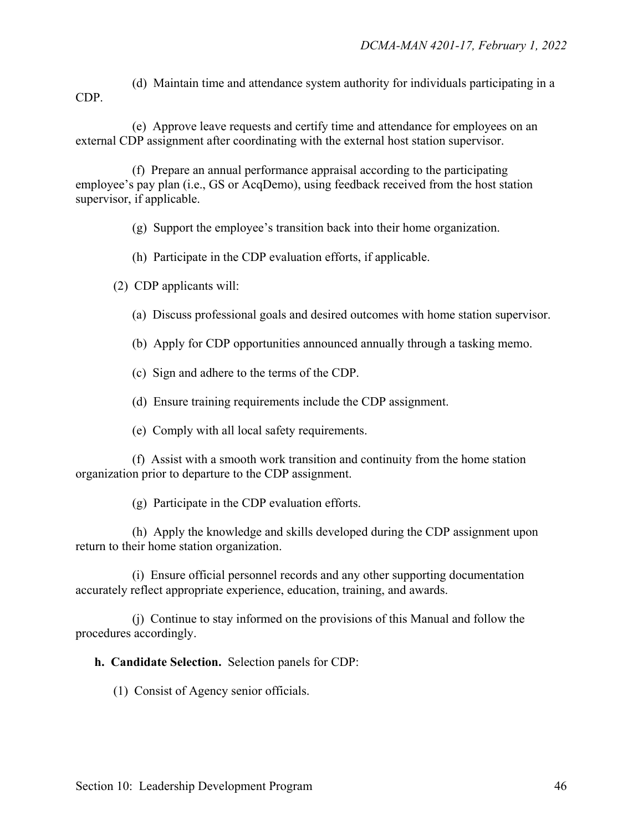(d) Maintain time and attendance system authority for individuals participating in a CDP.

 (e) Approve leave requests and certify time and attendance for employees on an external CDP assignment after coordinating with the external host station supervisor.

 (f) Prepare an annual performance appraisal according to the participating employee's pay plan (i.e., GS or AcqDemo), using feedback received from the host station supervisor, if applicable.

(g) Support the employee's transition back into their home organization.

(h) Participate in the CDP evaluation efforts, if applicable.

(2) CDP applicants will:

(a) Discuss professional goals and desired outcomes with home station supervisor.

- (b) Apply for CDP opportunities announced annually through a tasking memo.
- (c) Sign and adhere to the terms of the CDP.
- (d) Ensure training requirements include the CDP assignment.
- (e) Comply with all local safety requirements.

 (f) Assist with a smooth work transition and continuity from the home station organization prior to departure to the CDP assignment.

(g) Participate in the CDP evaluation efforts.

 (h) Apply the knowledge and skills developed during the CDP assignment upon return to their home station organization.

(i) Ensure official personnel records and any other supporting documentation accurately reflect appropriate experience, education, training, and awards.

 (j) Continue to stay informed on the provisions of this Manual and follow the procedures accordingly.

**h. Candidate Selection.** Selection panels for CDP:

(1) Consist of Agency senior officials.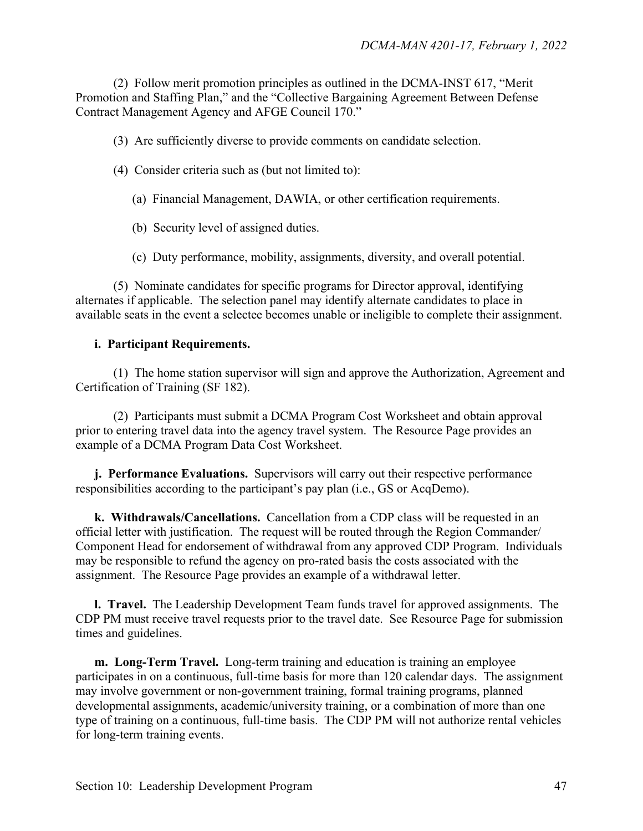(2) Follow merit promotion principles as outlined in the DCMA-INST 617, "Merit Promotion and Staffing Plan," and the "Collective Bargaining Agreement Between Defense Contract Management Agency and AFGE Council 170."

(3) Are sufficiently diverse to provide comments on candidate selection.

- (4) Consider criteria such as (but not limited to):
	- (a) Financial Management, DAWIA, or other certification requirements.
	- (b) Security level of assigned duties.

(c) Duty performance, mobility, assignments, diversity, and overall potential.

(5) Nominate candidates for specific programs for Director approval, identifying alternates if applicable. The selection panel may identify alternate candidates to place in available seats in the event a selectee becomes unable or ineligible to complete their assignment.

#### **i. Participant Requirements.**

(1) The home station supervisor will sign and approve the Authorization, Agreement and Certification of Training (SF 182).

(2) Participants must submit a DCMA Program Cost Worksheet and obtain approval prior to entering travel data into the agency travel system. The Resource Page provides an example of a DCMA Program Data Cost Worksheet.

**j. Performance Evaluations.** Supervisors will carry out their respective performance responsibilities according to the participant's pay plan (i.e., GS or AcqDemo).

**k. Withdrawals/Cancellations.** Cancellation from a CDP class will be requested in an official letter with justification. The request will be routed through the Region Commander/ Component Head for endorsement of withdrawal from any approved CDP Program. Individuals may be responsible to refund the agency on pro-rated basis the costs associated with the assignment. The Resource Page provides an example of a withdrawal letter.

**l. Travel.** The Leadership Development Team funds travel for approved assignments. The CDP PM must receive travel requests prior to the travel date. See Resource Page for submission times and guidelines.

**m. Long-Term Travel.** Long-term training and education is training an employee participates in on a continuous, full-time basis for more than 120 calendar days. The assignment may involve government or non-government training, formal training programs, planned developmental assignments, academic/university training, or a combination of more than one type of training on a continuous, full-time basis. The CDP PM will not authorize rental vehicles for long-term training events.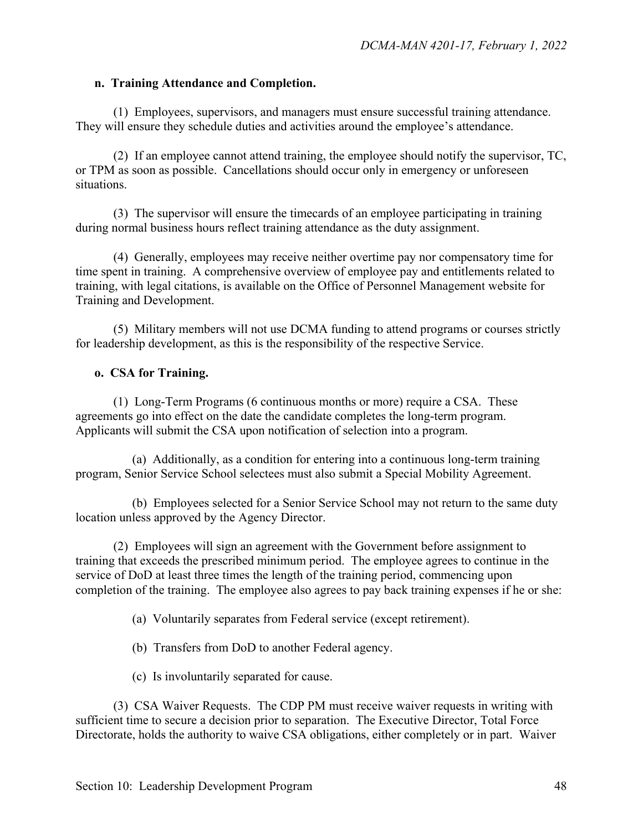#### **n. Training Attendance and Completion.**

(1) Employees, supervisors, and managers must ensure successful training attendance. They will ensure they schedule duties and activities around the employee's attendance.

(2) If an employee cannot attend training, the employee should notify the supervisor, TC, or TPM as soon as possible. Cancellations should occur only in emergency or unforeseen situations.

(3) The supervisor will ensure the timecards of an employee participating in training during normal business hours reflect training attendance as the duty assignment.

(4) Generally, employees may receive neither overtime pay nor compensatory time for time spent in training. A comprehensive overview of employee pay and entitlements related to training, with legal citations, is available on the Office of Personnel Management website for Training and Development.

(5) Military members will not use DCMA funding to attend programs or courses strictly for leadership development, as this is the responsibility of the respective Service.

#### **o. CSA for Training.**

(1) Long-Term Programs (6 continuous months or more) require a CSA. These agreements go into effect on the date the candidate completes the long-term program. Applicants will submit the CSA upon notification of selection into a program.

(a) Additionally, as a condition for entering into a continuous long-term training program, Senior Service School selectees must also submit a Special Mobility Agreement.

(b) Employees selected for a Senior Service School may not return to the same duty location unless approved by the Agency Director.

(2) Employees will sign an agreement with the Government before assignment to training that exceeds the prescribed minimum period. The employee agrees to continue in the service of DoD at least three times the length of the training period, commencing upon completion of the training. The employee also agrees to pay back training expenses if he or she:

- (a) Voluntarily separates from Federal service (except retirement).
- (b) Transfers from DoD to another Federal agency.
- (c) Is involuntarily separated for cause.

(3) CSA Waiver Requests. The CDP PM must receive waiver requests in writing with sufficient time to secure a decision prior to separation. The Executive Director, Total Force Directorate, holds the authority to waive CSA obligations, either completely or in part. Waiver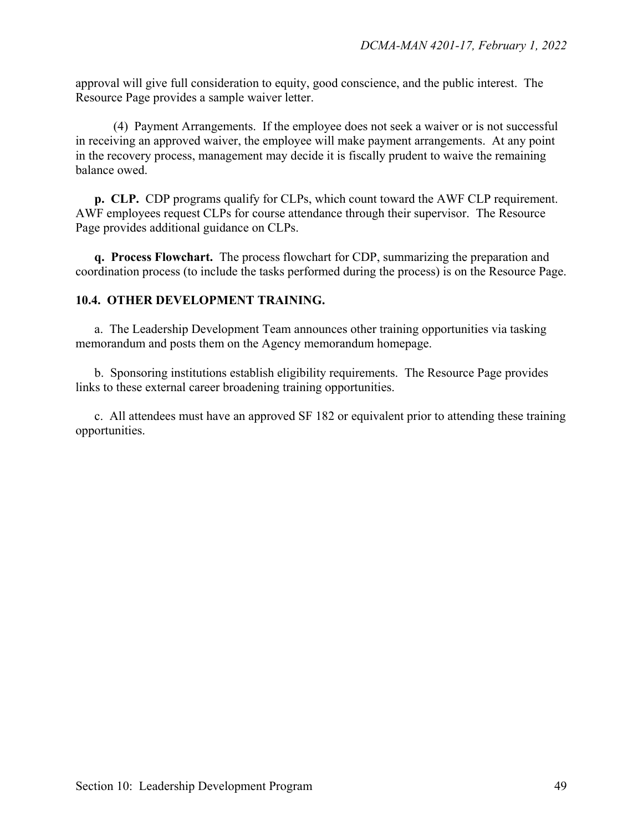approval will give full consideration to equity, good conscience, and the public interest. The Resource Page provides a sample waiver letter.

(4) Payment Arrangements. If the employee does not seek a waiver or is not successful in receiving an approved waiver, the employee will make payment arrangements. At any point in the recovery process, management may decide it is fiscally prudent to waive the remaining balance owed.

**p. CLP.** CDP programs qualify for CLPs, which count toward the AWF CLP requirement. AWF employees request CLPs for course attendance through their supervisor. The Resource Page provides additional guidance on CLPs.

**q. Process Flowchart.** The process flowchart for CDP, summarizing the preparation and coordination process (to include the tasks performed during the process) is on the Resource Page.

#### **10.4. OTHER DEVELOPMENT TRAINING.**

a.The Leadership Development Team announces other training opportunities via tasking memorandum and posts them on the Agency memorandum homepage.

b. Sponsoring institutions establish eligibility requirements. The Resource Page provides links to these external career broadening training opportunities.

c. All attendees must have an approved SF 182 or equivalent prior to attending these training opportunities.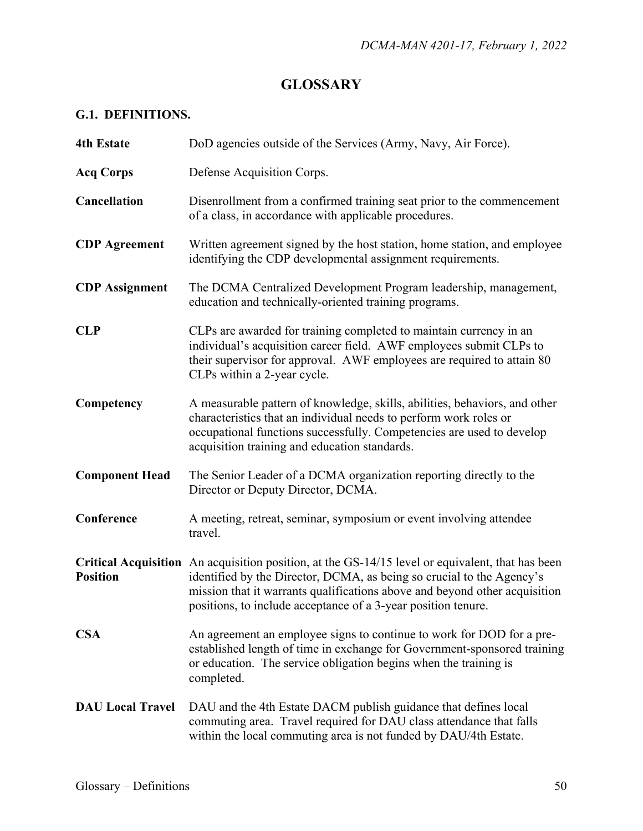## **GLOSSARY**

## **G.1. DEFINITIONS.**

| <b>4th Estate</b>       | DoD agencies outside of the Services (Army, Navy, Air Force).                                                                                                                                                                                                                                                            |
|-------------------------|--------------------------------------------------------------------------------------------------------------------------------------------------------------------------------------------------------------------------------------------------------------------------------------------------------------------------|
| <b>Acq Corps</b>        | Defense Acquisition Corps.                                                                                                                                                                                                                                                                                               |
| Cancellation            | Disenrollment from a confirmed training seat prior to the commencement<br>of a class, in accordance with applicable procedures.                                                                                                                                                                                          |
| <b>CDP</b> Agreement    | Written agreement signed by the host station, home station, and employee<br>identifying the CDP developmental assignment requirements.                                                                                                                                                                                   |
| <b>CDP</b> Assignment   | The DCMA Centralized Development Program leadership, management,<br>education and technically-oriented training programs.                                                                                                                                                                                                |
| <b>CLP</b>              | CLPs are awarded for training completed to maintain currency in an<br>individual's acquisition career field. AWF employees submit CLPs to<br>their supervisor for approval. AWF employees are required to attain 80<br>CLPs within a 2-year cycle.                                                                       |
| Competency              | A measurable pattern of knowledge, skills, abilities, behaviors, and other<br>characteristics that an individual needs to perform work roles or<br>occupational functions successfully. Competencies are used to develop<br>acquisition training and education standards.                                                |
| <b>Component Head</b>   | The Senior Leader of a DCMA organization reporting directly to the<br>Director or Deputy Director, DCMA.                                                                                                                                                                                                                 |
| Conference              | A meeting, retreat, seminar, symposium or event involving attendee<br>travel.                                                                                                                                                                                                                                            |
| <b>Position</b>         | Critical Acquisition An acquisition position, at the GS-14/15 level or equivalent, that has been<br>identified by the Director, DCMA, as being so crucial to the Agency's<br>mission that it warrants qualifications above and beyond other acquisition<br>positions, to include acceptance of a 3-year position tenure. |
| <b>CSA</b>              | An agreement an employee signs to continue to work for DOD for a pre-<br>established length of time in exchange for Government-sponsored training<br>or education. The service obligation begins when the training is<br>completed.                                                                                      |
| <b>DAU Local Travel</b> | DAU and the 4th Estate DACM publish guidance that defines local<br>commuting area. Travel required for DAU class attendance that falls<br>within the local commuting area is not funded by DAU/4th Estate.                                                                                                               |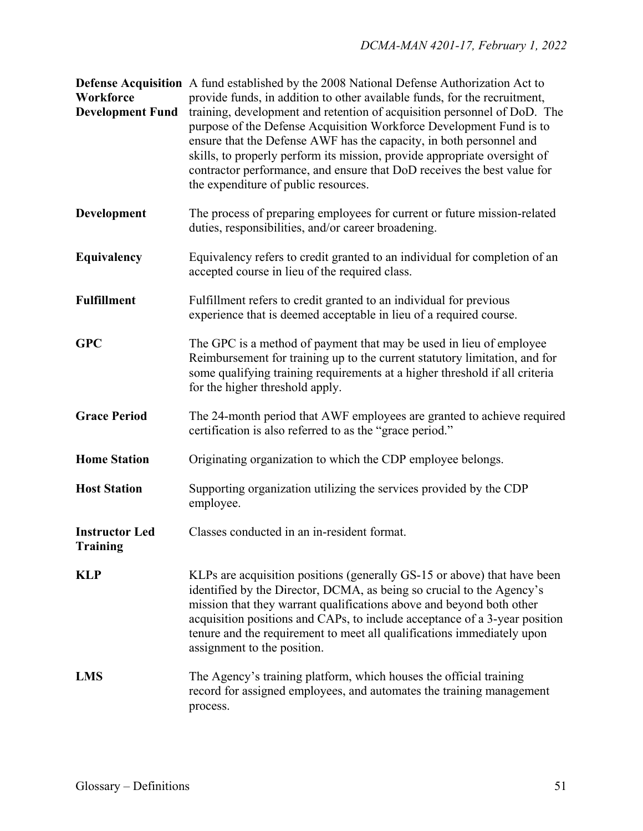**Defense Acquisition** A fund established by the 2008 National Defense Authorization Act to **Workforce** provide funds, in addition to other available funds, for the recruitment, **Development Fund** training, development and retention of acquisition personnel of DoD. The purpose of the Defense Acquisition Workforce Development Fund is to ensure that the Defense AWF has the capacity, in both personnel and skills, to properly perform its mission, provide appropriate oversight of contractor performance, and ensure that DoD receives the best value for the expenditure of public resources.

- **Development** The process of preparing employees for current or future mission-related duties, responsibilities, and/or career broadening.
- **Equivalency** Equivalency refers to credit granted to an individual for completion of an accepted course in lieu of the required class.
- **Fulfillment** Fulfillment refers to credit granted to an individual for previous experience that is deemed acceptable in lieu of a required course.
- **GPC** The GPC is a method of payment that may be used in lieu of employee Reimbursement for training up to the current statutory limitation, and for some qualifying training requirements at a higher threshold if all criteria for the higher threshold apply.
- **Grace Period** The 24-month period that AWF employees are granted to achieve required certification is also referred to as the "grace period."
- **Home Station** Originating organization to which the CDP employee belongs.
- **Host Station** Supporting organization utilizing the services provided by the CDP employee.
- **Instructor Led** Classes conducted in an in-resident format.
- **KLP** KLPs are acquisition positions (generally GS-15 or above) that have been identified by the Director, DCMA, as being so crucial to the Agency's mission that they warrant qualifications above and beyond both other acquisition positions and CAPs, to include acceptance of a 3-year position tenure and the requirement to meet all qualifications immediately upon assignment to the position.
- **LMS** The Agency's training platform, which houses the official training record for assigned employees, and automates the training management process.

**Training**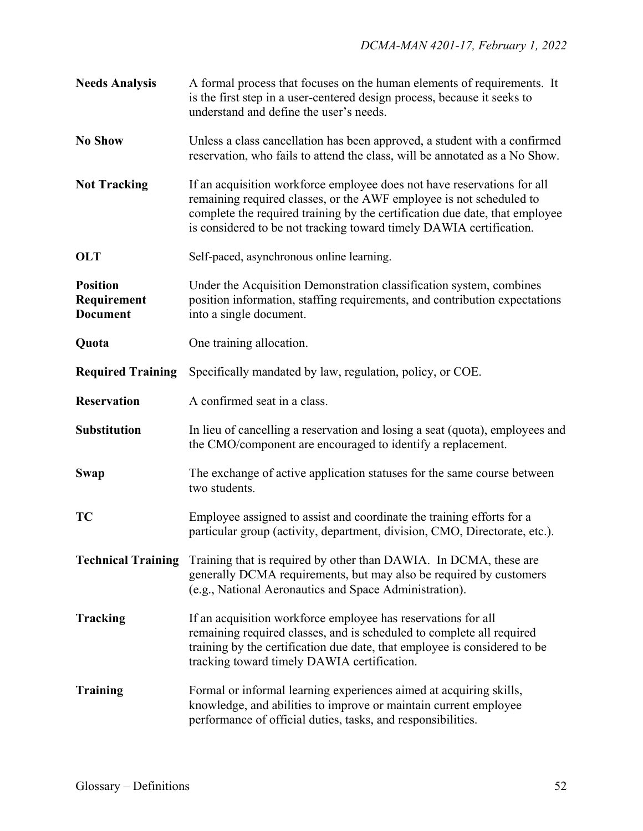| <b>Needs Analysis</b>                             | A formal process that focuses on the human elements of requirements. It<br>is the first step in a user-centered design process, because it seeks to<br>understand and define the user's needs.                                                                                                       |
|---------------------------------------------------|------------------------------------------------------------------------------------------------------------------------------------------------------------------------------------------------------------------------------------------------------------------------------------------------------|
| <b>No Show</b>                                    | Unless a class cancellation has been approved, a student with a confirmed<br>reservation, who fails to attend the class, will be annotated as a No Show.                                                                                                                                             |
| <b>Not Tracking</b>                               | If an acquisition workforce employee does not have reservations for all<br>remaining required classes, or the AWF employee is not scheduled to<br>complete the required training by the certification due date, that employee<br>is considered to be not tracking toward timely DAWIA certification. |
| <b>OLT</b>                                        | Self-paced, asynchronous online learning.                                                                                                                                                                                                                                                            |
| <b>Position</b><br>Requirement<br><b>Document</b> | Under the Acquisition Demonstration classification system, combines<br>position information, staffing requirements, and contribution expectations<br>into a single document.                                                                                                                         |
| Quota                                             | One training allocation.                                                                                                                                                                                                                                                                             |
| <b>Required Training</b>                          | Specifically mandated by law, regulation, policy, or COE.                                                                                                                                                                                                                                            |
| <b>Reservation</b>                                | A confirmed seat in a class.                                                                                                                                                                                                                                                                         |
| <b>Substitution</b>                               | In lieu of cancelling a reservation and losing a seat (quota), employees and<br>the CMO/component are encouraged to identify a replacement.                                                                                                                                                          |
| <b>Swap</b>                                       | The exchange of active application statuses for the same course between<br>two students.                                                                                                                                                                                                             |
| TC                                                | Employee assigned to assist and coordinate the training efforts for a<br>particular group (activity, department, division, CMO, Directorate, etc.).                                                                                                                                                  |
|                                                   | <b>Technical Training</b> Training that is required by other than DAWIA. In DCMA, these are<br>generally DCMA requirements, but may also be required by customers<br>(e.g., National Aeronautics and Space Administration).                                                                          |
| <b>Tracking</b>                                   | If an acquisition workforce employee has reservations for all<br>remaining required classes, and is scheduled to complete all required<br>training by the certification due date, that employee is considered to be<br>tracking toward timely DAWIA certification.                                   |
| <b>Training</b>                                   | Formal or informal learning experiences aimed at acquiring skills,<br>knowledge, and abilities to improve or maintain current employee<br>performance of official duties, tasks, and responsibilities.                                                                                               |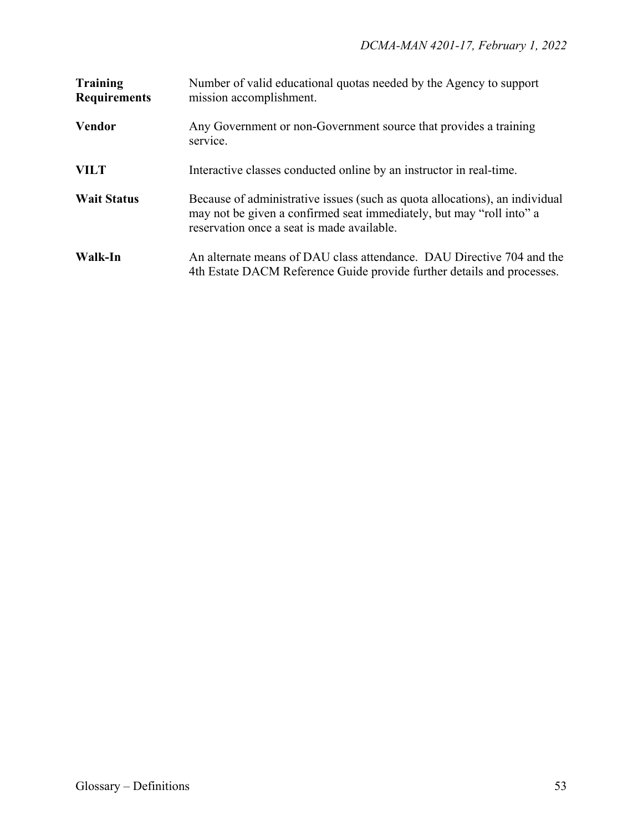| <b>Training</b><br><b>Requirements</b> | Number of valid educational quotas needed by the Agency to support<br>mission accomplishment.                                                                                                     |
|----------------------------------------|---------------------------------------------------------------------------------------------------------------------------------------------------------------------------------------------------|
| <b>Vendor</b>                          | Any Government or non-Government source that provides a training<br>service.                                                                                                                      |
| <b>VILT</b>                            | Interactive classes conducted online by an instructor in real-time.                                                                                                                               |
| <b>Wait Status</b>                     | Because of administrative issues (such as quota allocations), an individual<br>may not be given a confirmed seat immediately, but may "roll into" a<br>reservation once a seat is made available. |
| Walk-In                                | An alternate means of DAU class attendance. DAU Directive 704 and the<br>4th Estate DACM Reference Guide provide further details and processes.                                                   |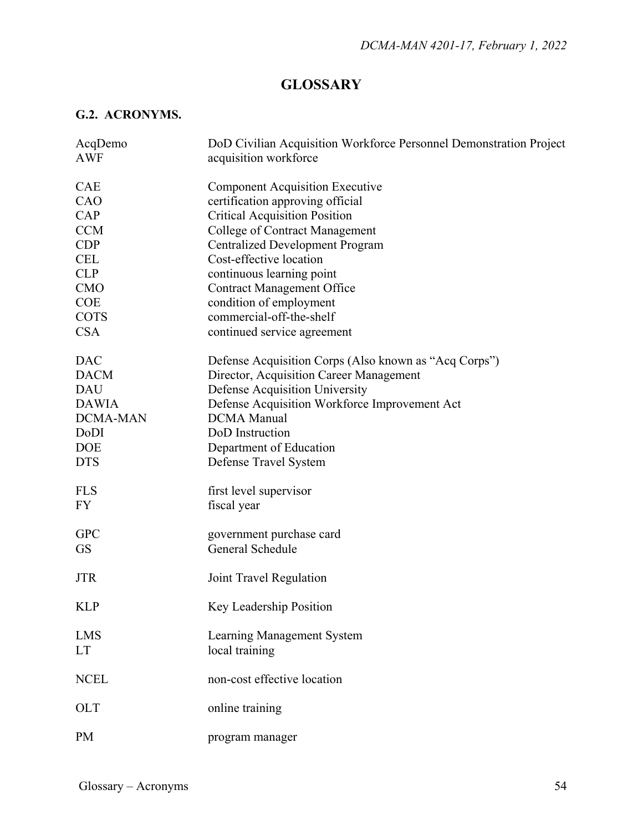## **GLOSSARY**

## **G.2. ACRONYMS.**

| AcqDemo         | DoD Civilian Acquisition Workforce Personnel Demonstration Project |
|-----------------|--------------------------------------------------------------------|
| <b>AWF</b>      | acquisition workforce                                              |
|                 |                                                                    |
| <b>CAE</b>      | <b>Component Acquisition Executive</b>                             |
| CAO             | certification approving official                                   |
| CAP             | <b>Critical Acquisition Position</b>                               |
| <b>CCM</b>      | <b>College of Contract Management</b>                              |
| CDP             | <b>Centralized Development Program</b>                             |
| <b>CEL</b>      | Cost-effective location                                            |
| <b>CLP</b>      | continuous learning point                                          |
| <b>CMO</b>      | <b>Contract Management Office</b>                                  |
| <b>COE</b>      | condition of employment                                            |
| <b>COTS</b>     | commercial-off-the-shelf                                           |
| <b>CSA</b>      | continued service agreement                                        |
|                 |                                                                    |
| <b>DAC</b>      | Defense Acquisition Corps (Also known as "Acq Corps")              |
| <b>DACM</b>     | Director, Acquisition Career Management                            |
| <b>DAU</b>      | Defense Acquisition University                                     |
| <b>DAWIA</b>    | Defense Acquisition Workforce Improvement Act                      |
| <b>DCMA-MAN</b> | <b>DCMA</b> Manual                                                 |
| DoDI            | DoD Instruction                                                    |
| <b>DOE</b>      | Department of Education                                            |
| <b>DTS</b>      | Defense Travel System                                              |
|                 |                                                                    |
| <b>FLS</b>      | first level supervisor                                             |
| <b>FY</b>       | fiscal year                                                        |
|                 |                                                                    |
| <b>GPC</b>      | government purchase card                                           |
| <b>GS</b>       | General Schedule                                                   |
|                 |                                                                    |
| <b>JTR</b>      | Joint Travel Regulation                                            |
|                 |                                                                    |
| <b>KLP</b>      | Key Leadership Position                                            |
|                 |                                                                    |
| <b>LMS</b>      | Learning Management System                                         |
| <b>LT</b>       | local training                                                     |
|                 |                                                                    |
| <b>NCEL</b>     | non-cost effective location                                        |
|                 |                                                                    |
| <b>OLT</b>      | online training                                                    |
|                 |                                                                    |
| <b>PM</b>       | program manager                                                    |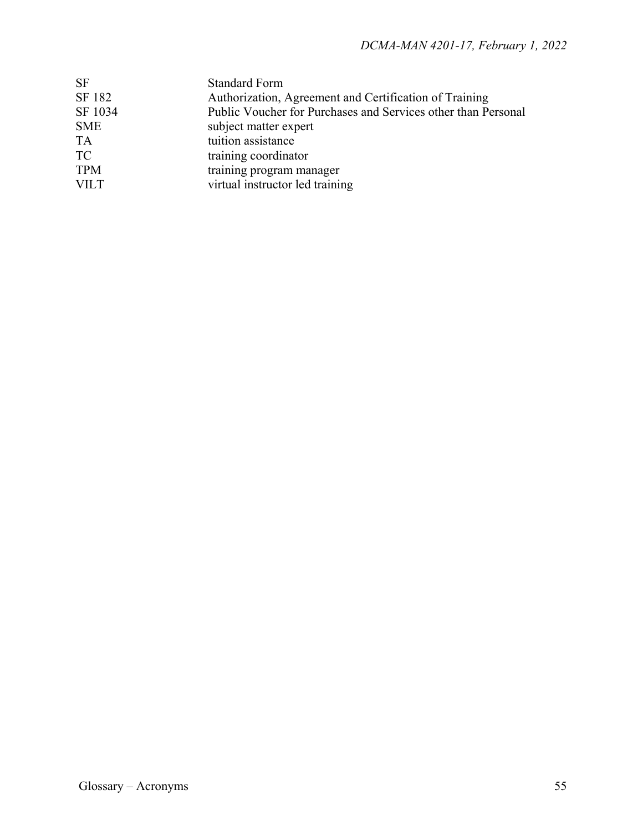| <b>SF</b>   | <b>Standard Form</b>                                          |
|-------------|---------------------------------------------------------------|
| SF 182      | Authorization, Agreement and Certification of Training        |
| SF 1034     | Public Voucher for Purchases and Services other than Personal |
| <b>SME</b>  | subject matter expert                                         |
| <b>TA</b>   | tuition assistance                                            |
| <b>TC</b>   | training coordinator                                          |
| <b>TPM</b>  | training program manager                                      |
| <b>VILT</b> | virtual instructor led training                               |
|             |                                                               |